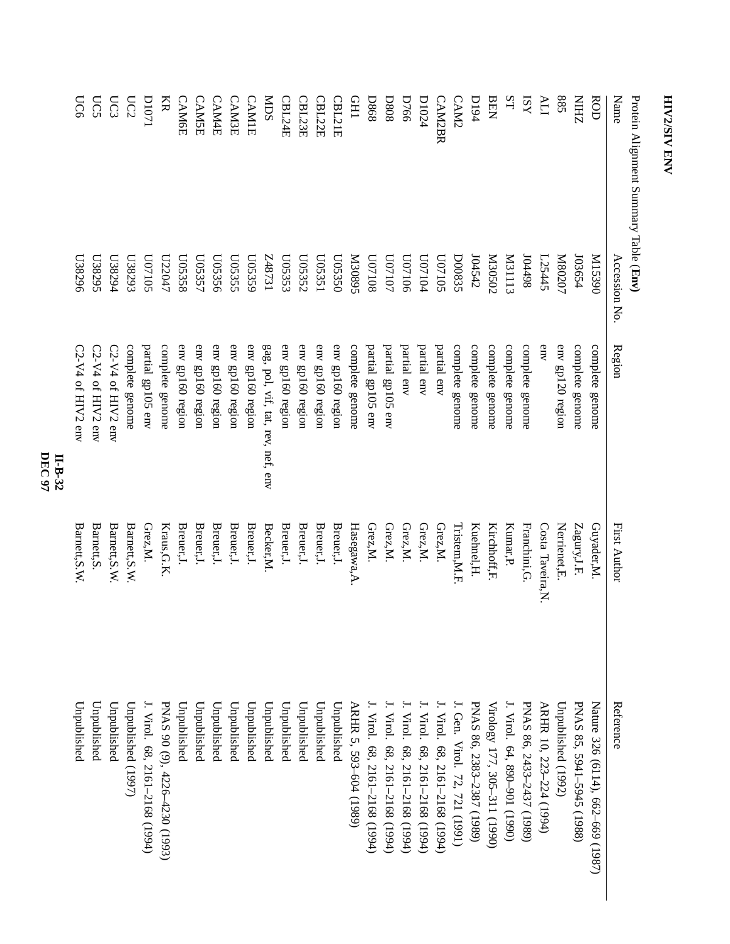| Protein Alignment Summary Table (Env) |                 |                                   |                 |                                   |
|---------------------------------------|-----------------|-----------------------------------|-----------------|-----------------------------------|
| Name                                  | Accession No.   | Region                            | First Author    | Reference                         |
| <b>ROD</b>                            | 068SIM          | complete genome                   | Guyader,M       | Nature 326 (6114), 662–669 (1987) |
| <b>ZHIN</b>                           | 103654          | complete genome                   | Zagury,J.F.     | PNAS 85, 5941-5945 (1988)         |
| <b>S88</b>                            | V80207          | env gp120 region                  | Nerrienet, E    | Unpublished (1992)                |
| ITY                                   | L25445          | env                               | Costa Taveira,N | ARHR 10, 223-224 (1994)           |
| <b>XSI</b>                            | 104498          | complete genome                   | Franchini, G.   | PNAS 86, 2433-2437 (1989)         |
| $\mathbf{S}\mathbf{T}$                | <b>M31113</b>   | complete genome                   | Kumar, P.       | J. Virol. 64, 890-901 (1990)      |
| <b>BEN</b>                            | <b>M30502</b>   | complete genome                   | Kirchhoff, F.   | Virology 177, 305–311 (1990)      |
| <b>D194</b>                           | 104542          | complete genome                   | Kuehnel,H.      | PNAS 86, 2383-2387 (1989)         |
| CAM2                                  | D00835          | complete genome                   | Tristem, M.F.   | I. Gen. Virol. 72, 721 (1991)     |
| <b>CAM2BR</b>                         | S01100          | partial env                       | Grez,M.         | I. Virol. 68, 2161-2168 (1994)    |
| <b>D1024</b>                          | <b>LO7104</b>   | partial env                       | Grez,M.         | I. Virol. 68, 2161–2168 (1994)    |
| D766                                  | D01106          | partial env                       | Grez,M.         | I. Virol. 68, 2161–2168 (1994)    |
| <b>D808</b>                           | L01101          | partial gp105 env                 | Grez,M.         | I. Virol. 68, 2161–2168 (1994)    |
| <b>D868</b>                           | 801/00          | partial gp105 env                 | Grez,M.         | I. Virol. 68, 2161-2168 (1994)    |
| CHI                                   | S680EM          | complete genome                   | Hasegawa, A.    | ARHR 5, 593-604 (1989)            |
| CBL21E                                | <b>U05350</b>   | env gp160 region                  | Breuer, J.      | Unpublished                       |
| <b>CBL22E</b>                         | LSSS00          | env gp160 region                  | Breuer,J.       | Unpublished                       |
| CBL23E                                | L05352          | env gp160 region                  | Breuer,J.       | Unpublished                       |
| CBL24E                                | CS3533          | env gp160 region                  | Breuer,J.       | Unpublished                       |
| <b>NDS</b>                            | I8731           | gag, pol, vif, tat, rev, nef, env | Becker, M       | Unpublished                       |
| <b>CAMIE</b>                          | LU5359          | env gp160 region                  | Breuer,J.       | Unpublished                       |
| <b>CAM3E</b>                          | L05355          | env gp160 region                  | Breuer,J        | Unpublished                       |
| <b>CAM4E</b>                          | D05356          | env gp160 region                  | Breuer,J.       | Unpublished                       |
| <b>CAMSE</b>                          | LC2321          | env gp160 region                  | Breuer,J.       | Unpublished                       |
| <b>CAM6E</b>                          | <b>U05358</b>   | env gp160 region                  | Breuer,J.       | Unpublished                       |
| KR                                    | 122047          | complete genome                   | Kraus, G.K.     | PNAS 90 (9), 4226-4230 (1993)     |
| D1071                                 | S01 <i>1</i> 00 | partial gp105 env                 | Grez,M.         | I. Virol. 68, 2161–2168 (1994)    |
| LC <sub>2</sub>                       | L38293          | complete genome                   | Barnett, S.W.   | Unpublished (1997)                |
| UC3                                   | L38294          | C2-V4 of HIV2 env                 | Barnett, S.W.   | Unpublished                       |
| LCS                                   | L38295          | C2-V4 of HIV2 env                 | Barnett, S.     | Unpublished                       |
| <b>DC6</b>                            | <b>U38296</b>   | C2-V4 of HIV2 env                 | Barnett, S.W.   | Unpublished                       |
|                                       |                 |                                   |                 |                                   |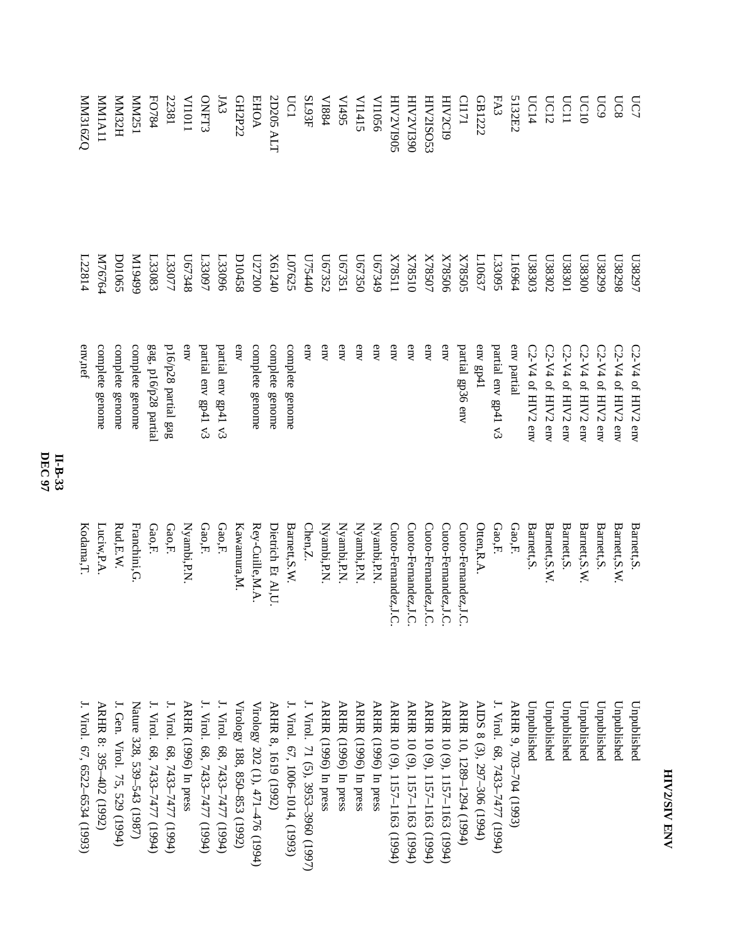| J. Virol. 67, 6522–6534 (1993)     | Kodama,T            | env,nef              | L22814         | NIN1316ZQ        |
|------------------------------------|---------------------|----------------------|----------------|------------------|
| ARHR 8: 395-402 (1992)             | Luciw,P.A.          | complete genome      | M76764         | IIAIMM           |
| J. Gen. Virol. 75, 529 (1994)      | Rud, E.W.           | complete genome      | <b>D01065</b>  | <b>HZENIN</b>    |
| Nature 328, 539–543 (1987)         | Franchini, G        | complete genome      | 66t61M         | MM251            |
| I. Virol. 68, 7433–7477 (1994)     | Gao,F.              | gag, p16/p28 partial | L33083         | FO784            |
| J. Virol. 68, 7433-7477 (1994)     | Gao,F.              | p16/p28 partial gag  | L33077         | 22381            |
| ARHR (1996) In press               | Nyambi,P.N.         | $_{\rm env}$         | U67348         | <b>NIOI1</b>     |
| [. Virol. 68, 7433–7477 (1994)     | Gao,F.              | partial env gp41 v3  | L33097         | <b>ONFT3</b>     |
| . Virol. 68, 7433–7477 (1994)      | Gao,F.              | partial env gp41 v3  | <b>L33096</b>  | IA <sub>3</sub>  |
| Virology 188, 850–853 (1992)       | Kawamura,M.         | env                  | D10458         | GH2P22           |
| Virology 202 (1), 471-476 (1994)   | Rey-Cuille,M.A.     | complete genome      | 027200         | <b>EHOA</b>      |
| ARHR 8, 1619 (1992)                | Dietrich Et Al,U.   | complete genome      | X61240         | <b>2D205 ALT</b> |
| I. Virol. 67, 1006-1014, (1993)    | Barnett, S.W.       | complete genome      | L07625         | <b>DC1</b>       |
| I. Virol. 71 (5), 3953-3960 (1997) | $Chen, Z$ .         | env                  | U75440         | SL93F            |
| ARHR (1996) In press               | Nyambi,P.N          | env                  | L67352         | <b>VI884</b>     |
| ARHR (1996) In press               | Nyambi,P.N.         | env                  | L67351         | S67IA            |
| ARHR (1996) In press               | Nyambi,P.N.         | env                  | U67350         | S1415            |
| ARHR (1996) In press               | Nyambi,P.N.         | env                  | U67349         | <b>N11056</b>    |
| ARHR 10 (9), 1157–1163 (1994)      | Cuoto-Fernandez,J.C | env                  | I18511         | <b>HIV2VI905</b> |
| ARHR 10 (9), 1157–1163 (1994)      | Cuoto-Fernandez,J.C | env                  | <b>SST8510</b> | <b>HIV2VI390</b> |
| ARHR 10 (9), 1157–1163 (1994)      | Cuoto-Fernandez,J.C | env                  | X78507         | <b>HIV2ISO53</b> |
| ARHR 10 (9), 1157-1163 (1994)      | Cuoto-Fernandez,J.C | env                  | <b>X78506</b>  | HIV2C19          |
| ARHR 10, 1289-1294 (1994)          | Cuoto-Fernandez,J.C | partial gp36 env     | X78505         | CI171            |
| AIDS 8 (3), 297-306 (1994)         | Often, R.A.         | env gp41             | L10637         | GB1222           |
| I. Virol. 68, 7433–7477 (1994)     | Gao,F.              | partial env gp41 v3  | L33095         | FA3              |
| ARHR 9, 703-704 (1993)             | Gao,F.              | env partial          | L16964         | 5132E2           |
| Unpublished                        | Barnett, S          | C2-V4 of HIV2 env    | E028303        | UC14             |
| Unpublished                        | Barnett, S.W.       | C2-V4 of HIV2 env    | L38302         | UC12             |
| Unpublished                        | Barnett, S.         | C2-V4 of HIV2 env    | L028301        | <b>UC11</b>      |
| Unpublished                        | Barnett, S.W.       | C2-V4 of HIV2 env    | <b>U38300</b>  | UC10             |
| Unpublished                        | Barnett, S.         | C2-V4 of HIV2 env    | G67820         | UC9              |
| Unpublished                        | Barnett, S.W.       | C2-V4 of HIV2 env    | R6Z850         | UC8              |
| Unpublished                        | Barnett, S          | C2-V4 of HIV2 env    | L67820         | LOQ              |

**DEC 97 II-B-33**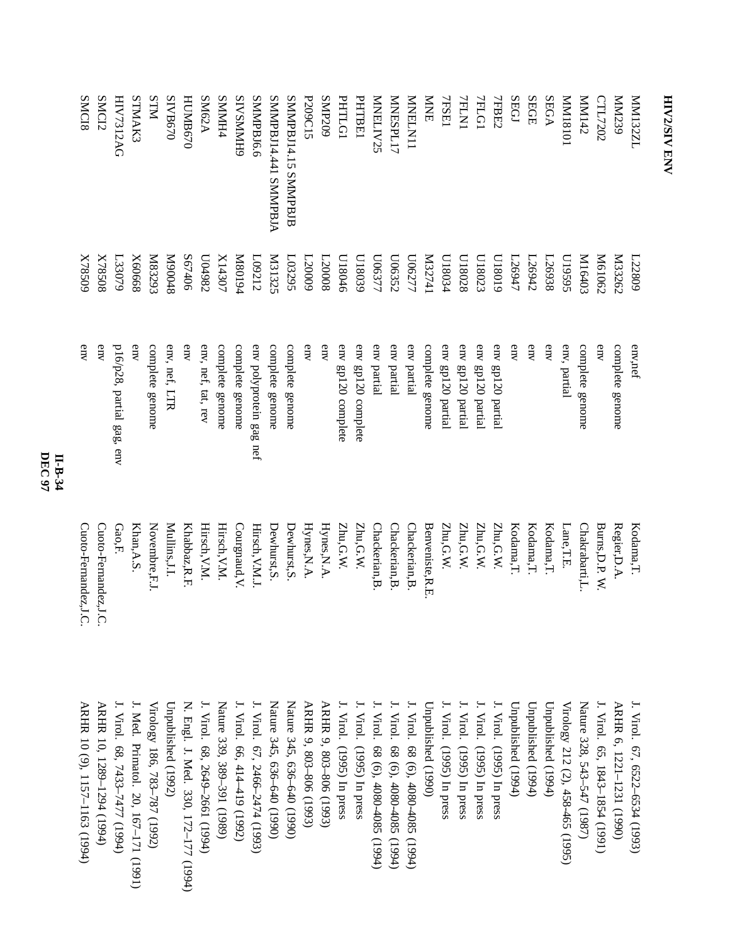| <b>SMCI2</b><br><b>SMCI8</b><br><b>SSS09</b><br>80588<br>env<br>env                                       | HIV7312AG<br>L33079<br>p16/p28, partial gag, env<br>Gao,F. | STMAK3<br><b>X60668</b><br>env<br>Khan, A.S. | <b>NLIS</b><br>K83293<br>complete genome<br>Novembre, F.J | SIVB670<br>8t006M<br>env, nef, LTR<br>Mullins, J.I. | HUMB670<br>S67406<br>env<br>Khabbaz, R.F. | SM62A<br>C86 <sub>t0</sub><br>env, nef, tat, rev<br>Hirsch, V.M. | SMMH44<br>X14307<br>complete genome<br>Hirsch, V.M. | <b>SIVSMMH9</b><br><b>P6108M</b><br>complete genome<br>Courgnaud, V | SMMPBJ6.6<br>L09212<br>env polyprotein gag nef<br>Hirsch, V.M.J | SMMPBJ14.441 SMMPBJA<br><b>M31325</b><br>complete genome<br>Dewhurst, S | SMNPBJ14.15 SMNPBJB<br>L03295<br>complete genome<br>Dewhurst, S | P209C15<br>F20009<br>env<br>Hynes, N.A. | <b>SMP209</b><br>E20008<br>env<br>Hynes, N.A. | <b>PHTLG1</b><br>Q18046<br>env<br>gp120 complete<br>Zhu,G.W. | PHTBEI<br>L18039<br>env gp120 complete<br>Zhu,G.W. | <b>MNELIV25</b><br>U06377<br>env partial<br>Chackerian, B | MNESPL17<br>L06352<br>env partial<br>Chackerian, B. | <b>NNELN11</b><br>L06277<br>env partial<br>Chackerian, B. | <b>NNE</b><br>M3274<br>complete genome<br>Benveniste,R.E | <b>TFSE1</b><br>L18034<br>env gp120 partial<br>Zhu,G.W. | <b>TFLN1</b><br>U18028<br>env gp120 partial<br>Zhu,G.W. | <b>TFLG1</b><br>L18023<br>env<br>gp120 partial<br>Zhu,G.W. | <b>TFBE2</b><br>GI0811<br>env<br>gp120 partial<br>Zhu, G.W. | <b>SEGJ</b><br>L76947<br>env<br>Kodama,T | SEGE<br>L26942<br>env<br>Kodama, T. | SEGA<br>L26938<br>env<br>Kodama, T. | <b>IO181WIN</b><br>S6S610<br>env, partial<br>Lane, T.E. | Zt <sub>I</sub> MM<br>M16403<br>complete genome<br>Chakrabarti,L. | <b>CTL7202</b><br>M61062<br>env<br>Burns, D.P. W. | MM239<br><b>M33262</b><br>complete genome<br>Regier,D.A. | <b>IZZEININ</b><br>608271<br>env,nef<br>Kodama, T. |
|-----------------------------------------------------------------------------------------------------------|------------------------------------------------------------|----------------------------------------------|-----------------------------------------------------------|-----------------------------------------------------|-------------------------------------------|------------------------------------------------------------------|-----------------------------------------------------|---------------------------------------------------------------------|-----------------------------------------------------------------|-------------------------------------------------------------------------|-----------------------------------------------------------------|-----------------------------------------|-----------------------------------------------|--------------------------------------------------------------|----------------------------------------------------|-----------------------------------------------------------|-----------------------------------------------------|-----------------------------------------------------------|----------------------------------------------------------|---------------------------------------------------------|---------------------------------------------------------|------------------------------------------------------------|-------------------------------------------------------------|------------------------------------------|-------------------------------------|-------------------------------------|---------------------------------------------------------|-------------------------------------------------------------------|---------------------------------------------------|----------------------------------------------------------|----------------------------------------------------|
| Cuoto-Fernandez,J.C<br>Cuoto-Fernandez,J.C.<br>ARHR 10 (9), 1157-1163 (1994)<br>ARHR 10, 1289-1294 (1994) | J. Virol. 68, 7433–7477 (1994)                             | J. Med. Primatol. 20, 167–171 (1991)         | Virology 186, 783–787 (1992)                              | Unpublished (1992)                                  | N. Engl. J. Med. 330, 172-177 (1994)      | I. Virol. 68, 2649–2661 (1994)                                   | Nature 339, 389–391 (1989)                          | I. Virol. 66, 414–419 (1992)                                        | I. Virol. 67, 2466-2474 (1993)                                  | Nature 345, 636-640 (1990)                                              | Nature 345, 636-640 (1990)                                      | ARHR 9, 803-806 (1993)                  | ARHR 9, 803-806 (1993)                        | J. Virol. (1995) In press                                    | J. Virol. (1995) In press                          | I. Virol. 68 (6), 4080-4085 (1994)                        | $I.$ Virol. 68 (6), 4080-4085 (1994)                | I. Virol. 68 (6), $4080-4085$ (1994)                      | Unpublished (1990)                                       | J. Virol. (1995) In press                               | I. Virol. (1995) In press                               | I. Virol. (1995) In press                                  | I. Virol. (1995) In press                                   | Unpublished (1994)                       | Unpublished (1994)                  | Unpublished (1994)                  | Virology 212 (2), 458-465 (1995)                        | Nature 328, 543–547 (1987)                                        | J. Virol. 65, 1843–1854 (1991)                    | ARHR 6, 1221-1231 (1990)                                 | I. Virol. 67, 6522–6534 (1993)                     |

### **DEC 97 II-B-34**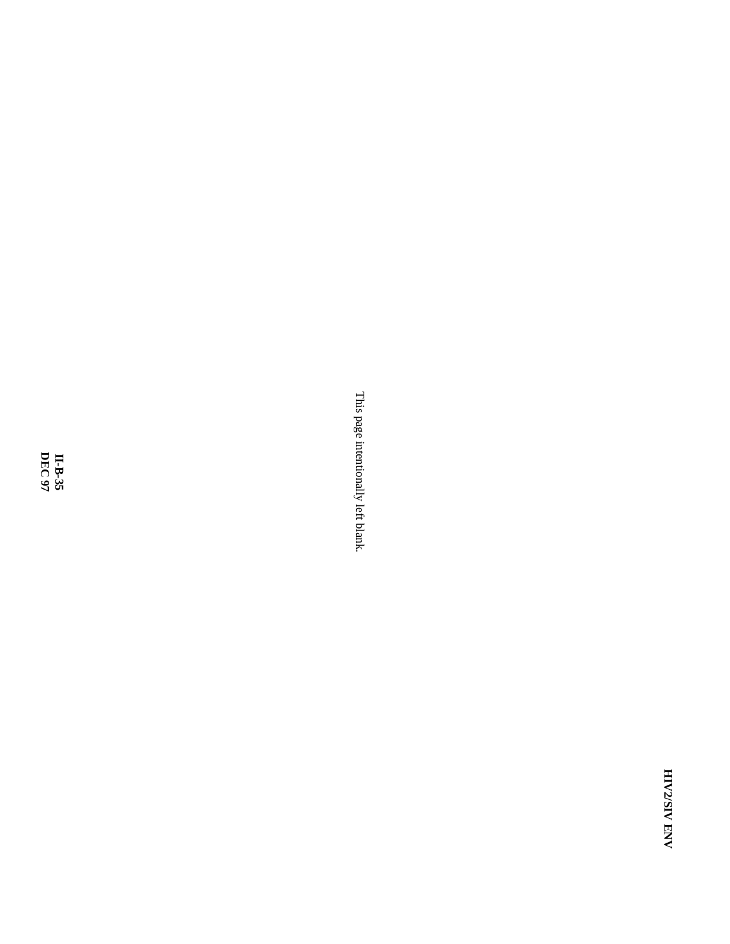**DEC 97 II-B-35**

This page intentionally leftblank.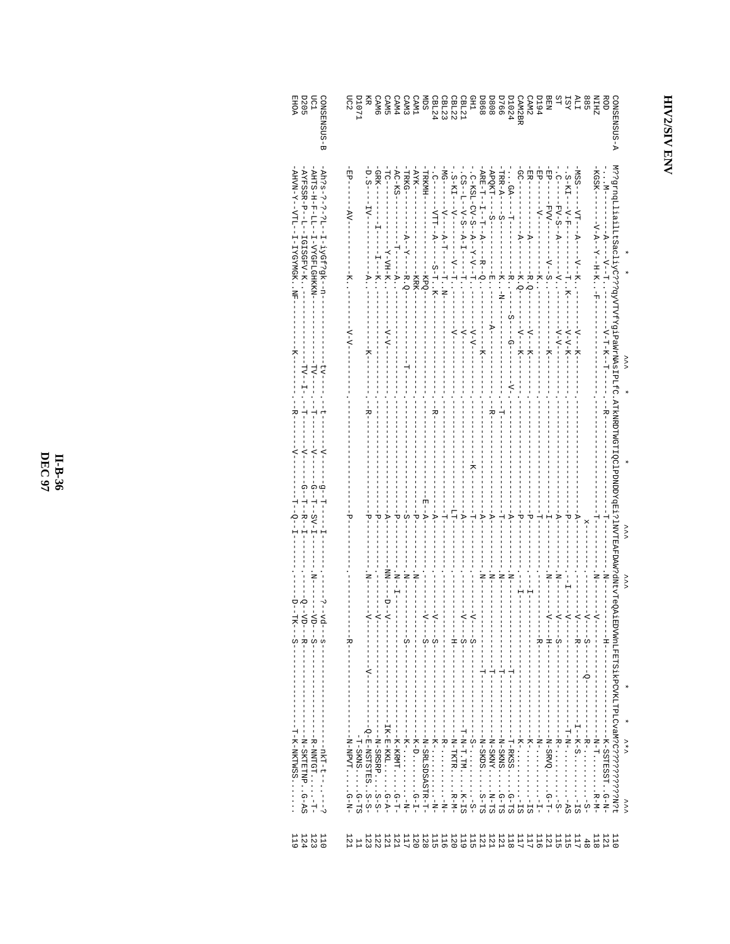| 112<br>123<br>124 |                              |                                                 | $-1 - 1 - -$<br>-0-1-1-1-            | --------<br>$-1 -$                   | $-$ AYESSR-P-L-LGISGEV-L-L-L-LGISGEV-                                                                                                                                                                                                                                                                                                                                                                                                                                                                                        | DC1<br>D205        |
|-------------------|------------------------------|-------------------------------------------------|--------------------------------------|--------------------------------------|------------------------------------------------------------------------------------------------------------------------------------------------------------------------------------------------------------------------------------------------------------------------------------------------------------------------------------------------------------------------------------------------------------------------------------------------------------------------------------------------------------------------------|--------------------|
|                   |                              | $\mathbf{N}$ -                                  | $-\Delta$ -<br>$I - L - -S - -I - D$ |                                      | AHTS-H-F-LL--I-VYGFLGHKKN                                                                                                                                                                                                                                                                                                                                                                                                                                                                                                    |                    |
|                   |                              |                                                 | $-2$ - $\sim$ - -                    |                                      | $Ah$ ?s-?-?-?L--I--IyGf?gk--n                                                                                                                                                                                                                                                                                                                                                                                                                                                                                                | CONSENSUS          |
|                   |                              |                                                 |                                      |                                      |                                                                                                                                                                                                                                                                                                                                                                                                                                                                                                                              |                    |
|                   |                              | $-1 - R - 1 -$                                  |                                      |                                      |                                                                                                                                                                                                                                                                                                                                                                                                                                                                                                                              |                    |
|                   | $-T-SKNSG-TS$                |                                                 |                                      |                                      |                                                                                                                                                                                                                                                                                                                                                                                                                                                                                                                              | D107:              |
|                   | $- - - - - - - - - - -$      | $-1$ - $-1$ - $-1$                              |                                      |                                      |                                                                                                                                                                                                                                                                                                                                                                                                                                                                                                                              |                    |
|                   | $- - -$ N - SRSRP S-S - N -  | $-1$ - $-1$ - $-1$                              |                                      |                                      | -GRK--<br>$-1 - 1 - 1 - K$ .                                                                                                                                                                                                                                                                                                                                                                                                                                                                                                 |                    |
|                   |                              | - MM - - - - D - - V - - -                      |                                      | $-4 - \Lambda - \Lambda -$           | TC----<br>--- X-AH-K                                                                                                                                                                                                                                                                                                                                                                                                                                                                                                         |                    |
|                   |                              | $-1 - 1$                                        |                                      |                                      | $AC - KS - - - -$<br>-T-------A.                                                                                                                                                                                                                                                                                                                                                                                                                                                                                             |                    |
|                   |                              | .<br>F                                          |                                      |                                      | TRKG--                                                                                                                                                                                                                                                                                                                                                                                                                                                                                                                       |                    |
|                   |                              |                                                 |                                      |                                      | $AXK--$<br>-- KRK                                                                                                                                                                                                                                                                                                                                                                                                                                                                                                            |                    |
|                   |                              |                                                 | $E--A$                               |                                      | <b>TRKMH</b><br>$-04X - -$                                                                                                                                                                                                                                                                                                                                                                                                                                                                                                   |                    |
|                   |                              | $-4-1$<br>$-5 - -$                              |                                      |                                      | $-1 - 1$                                                                                                                                                                                                                                                                                                                                                                                                                                                                                                                     |                    |
|                   | - - - R - ・・・・・・・・・・ - - N - |                                                 |                                      |                                      | $-1 - -1 = -1$<br>- - V - - - - A - T - - - - - T N -                                                                                                                                                                                                                                                                                                                                                                                                                                                                        |                    |
|                   |                              |                                                 |                                      |                                      | . S – KH – – – K – – – – – – – – – – K – – H                                                                                                                                                                                                                                                                                                                                                                                                                                                                                 |                    |
|                   |                              |                                                 |                                      | ------                               |                                                                                                                                                                                                                                                                                                                                                                                                                                                                                                                              |                    |
|                   |                              |                                                 |                                      | $-4 - 4 - 4 -$                       | $\begin{aligned} &\cdot\mathbf{R}\mathbf{R}\mathbf{E}\!-\!\mathbf{T}\!-\!\boldsymbol{-1}\!-\!\boldsymbol{1}\!-\!\boldsymbol{-1}\!-\!\boldsymbol{-1}\!-\!\boldsymbol{-1}\!-\!\boldsymbol{-1}\!-\!\boldsymbol{-1}\!-\!\boldsymbol{-1}\!-\!\boldsymbol{-1}\!-\!\boldsymbol{-1}\!\\ &\cdot\mathbf{C}\!-\!\mathbf{K}\mathbf{S}\mathbf{L}\!-\!\mathbf{C}\mathbf{V}\!-\!\mathbf{S}\!-\!\boldsymbol{-1}\!-\!\boldsymbol{1}\!-\!\boldsymbol{1}\!-\!\boldsymbol{-1}\!-\!\boldsymbol{-1}\!-\!\boldsymbol{-1}\!-\!\boldsymbol{-1}\!-\!\$ |                    |
|                   | $- - N - SNDS$ S-TS          | :<br>7<br>1                                     | $-V -$                               |                                      |                                                                                                                                                                                                                                                                                                                                                                                                                                                                                                                              |                    |
|                   | $-1 - N - N + N$             | $-1$                                            |                                      | $-5$                                 | APQKT-----S-<br>$\frac{1}{\mathbb{F}^2}$                                                                                                                                                                                                                                                                                                                                                                                                                                                                                     |                    |
|                   | ----N-SKNSG-TS               | -<br>N--                                        |                                      |                                      | TRR-A-<br>$-8 - -$<br>-- K - N --                                                                                                                                                                                                                                                                                                                                                                                                                                                                                            |                    |
|                   |                              | i<br>N                                          |                                      |                                      | $\ldots$ GA-----                                                                                                                                                                                                                                                                                                                                                                                                                                                                                                             |                    |
|                   |                              |                                                 |                                      | - - - - - - - - -                    | $-50 -$<br>$---A---$                                                                                                                                                                                                                                                                                                                                                                                                                                                                                                         |                    |
|                   |                              |                                                 |                                      | - - - - - - - - -                    | - ER – – –<br>- - - - - - - A - - - - - - - - A : Q -                                                                                                                                                                                                                                                                                                                                                                                                                                                                        |                    |
|                   |                              |                                                 |                                      |                                      | - EP コートーーー マーーーーー                                                                                                                                                                                                                                                                                                                                                                                                                                                                                                           |                    |
|                   |                              | $-4-1$                                          |                                      |                                      | -- FVV--<br>$-1 - 2$                                                                                                                                                                                                                                                                                                                                                                                                                                                                                                         |                    |
|                   |                              | $- -N - - -S - -$                               |                                      | $-4 - 4 - 4 -$                       | $-5V-S--A-$                                                                                                                                                                                                                                                                                                                                                                                                                                                                                                                  |                    |
|                   |                              | $- - \Delta - -$                                |                                      |                                      | $-S-KI---V-F$                                                                                                                                                                                                                                                                                                                                                                                                                                                                                                                | <b>ST</b><br>ST    |
|                   |                              | $-\Delta$ -                                     |                                      | --V----K                             | $-MSS$ -                                                                                                                                                                                                                                                                                                                                                                                                                                                                                                                     |                    |
|                   |                              | $-\Delta$ --<br>$- - - - - - - - - - - - - - -$ |                                      |                                      |                                                                                                                                                                                                                                                                                                                                                                                                                                                                                                                              | NIHZ<br>885<br>ALI |
|                   | ------N-T: N-M-              | -<br> -<br> -<br>$- - - - - - - -$              |                                      |                                      | -KGSK------<br>- - V - A - - K - - H - K - F - -                                                                                                                                                                                                                                                                                                                                                                                                                                                                             |                    |
|                   |                              | -<br>N----                                      |                                      | - - - - - - T - H - H - -<br>- TR-T- |                                                                                                                                                                                                                                                                                                                                                                                                                                                                                                                              | ROD                |
|                   |                              |                                                 |                                      |                                      |                                                                                                                                                                                                                                                                                                                                                                                                                                                                                                                              | <b>CONSENSUS-</b>  |
|                   | $\times *$<br>$\times$       | ,∕≻                                             | ᠈᠈                                   | $\check{'}$                          |                                                                                                                                                                                                                                                                                                                                                                                                                                                                                                                              |                    |

EHOA

 $- N H V N^{-1} - N^{-1} \cdots - 1 - 1 Y G Y N G K \quad , \ N F -$ 

 $-K$ 

 $- - K -$ 

 $- -\Lambda - -$ 

 $-1 - 1 - 0 - 1 - 1 - 1$ 

 $\frac{1}{1}$ 

**6TT**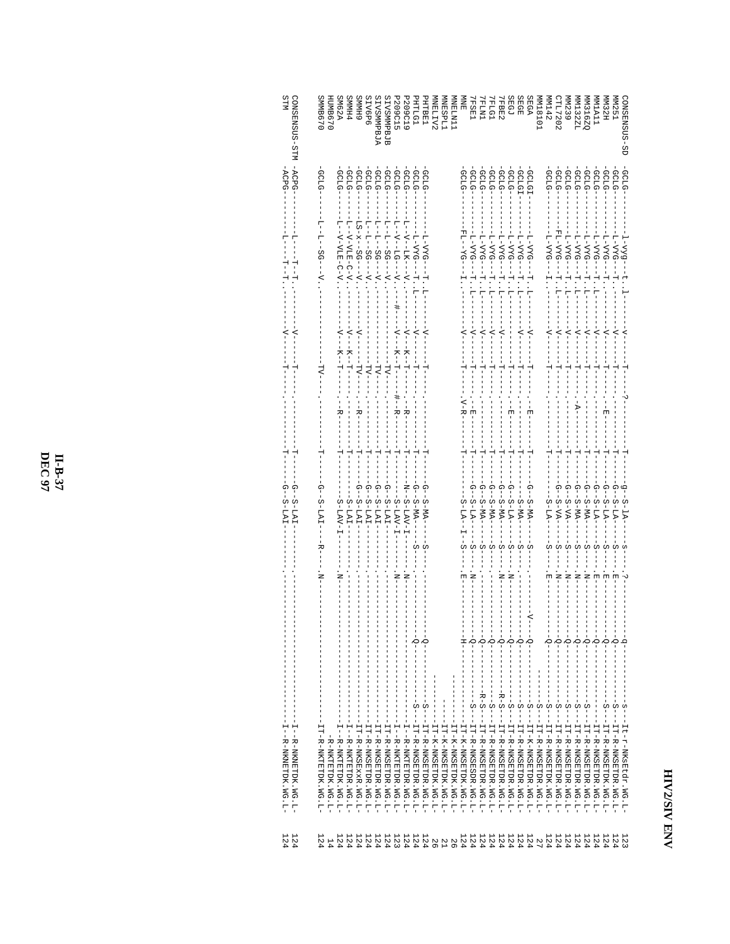| STIM                                 | NTS-SUSNESNO | SMMB670            | <b>IUMB670</b>        | <b>SM62A</b>                                       | <b>PHMMS</b>                   |                    | SIV6P6<br>SMMH9                                                                                                                                                                                                                                                       | <b>ALBUMPBJA</b>           | <b>TVSMMPBJE</b>             |                                                                                                     | 9209C19<br>9209C15                 | <b>TOTLE</b>         | THREE             | <b>INELIV2</b>     | <b>LISSEN</b>                                                               | <b>LINTEN</b>      | 립                  |                                                 | <b>TRES<br/>TELOSI</b><br>TELOSEI<br>TESEI                                                         |                                                           |                                                         | <b>CORS</b>                                               | <b>ROBS</b>                 | <b>ECA</b>             | L018101       |           | CTL7202<br>MM142    |                                  |                           | MM1A11<br>MM316ZQ<br>MM132ZL<br>MM239                                                  |                         | MIN251<br>MIN32H                              |                       | <b>SUSNESNO</b><br>S |
|--------------------------------------|--------------|--------------------|-----------------------|----------------------------------------------------|--------------------------------|--------------------|-----------------------------------------------------------------------------------------------------------------------------------------------------------------------------------------------------------------------------------------------------------------------|----------------------------|------------------------------|-----------------------------------------------------------------------------------------------------|------------------------------------|----------------------|-------------------|--------------------|-----------------------------------------------------------------------------|--------------------|--------------------|-------------------------------------------------|----------------------------------------------------------------------------------------------------|-----------------------------------------------------------|---------------------------------------------------------|-----------------------------------------------------------|-----------------------------|------------------------|---------------|-----------|---------------------|----------------------------------|---------------------------|----------------------------------------------------------------------------------------|-------------------------|-----------------------------------------------|-----------------------|----------------------|
| -ACPG-<br>-ACPG-                     |              | GCTC               |                       | ecro                                               | 9729-                          | GCLG               |                                                                                                                                                                                                                                                                       | ទំនង់<br>មិនទំនង់<br>ទំនង់ |                              |                                                                                                     | CCLG                               | -GCLG                | CCLG              |                    |                                                                             |                    | ecro               | CCLG                                            | GCLG                                                                                               | GCLG.                                                     | GCLG.                                                   | CCLG-                                                     | COLG:                       | GCLG:                  |               | GCLG      | GCLG                | GCLG                             | GCLG                      | CCLG                                                                                   | -GCLG                   | -GCTG                                         | CCLG                  | CCLG                 |
| ÷                                    |              |                    |                       | $L=-\nabla-\nabla L \cdot \nabla -\nabla -\nabla.$ |                                |                    | $\begin{aligned} & -\textbf{-} \textbf{L} - \textbf{-L} - - \textbf{SG} - - \textbf{V} \; . \\ & -\textbf{-L} \textbf{S} - \textbf{x} - - \textbf{SG} - - \textbf{V} \; . \\ & -\textbf{-L} \textbf{-S} - \textbf{x} - \textbf{SG} - - \textbf{V} \; . \end{aligned}$ | $-L$ - $-L$ --SG---V.      | $-L$ - $L$ -- $S$ G--- $V$ . | $-\mathbf{L} - \mathbf{V} - \mathbf{L} \mathbf{G} - - \mathbf{V}$ .                                 | $L--V--LK---V.$                    | $-T$ -AXG-<br>i<br>H | $-L - \Delta Z$ G |                    |                                                                             |                    |                    | $-L-\Delta XG$<br>Ļ,                            | $-L-VYG$<br>÷.<br>부                                                                                | $-L-NXG$<br>÷F.<br>부                                      | $-1 - NXG$<br>$\frac{1}{2}$<br>$\overline{\phantom{a}}$ | $-L-AA-1$<br>÷,                                           | $-1 - \Delta X$ C<br>÷.     | $T - \Delta X$ C<br>÷. |               | $L - VYG$ | <b>EL-VYG</b><br>÷. | $-1 - \Delta \lambda$<br>Ė.<br>Ļ | $-L-\Delta XG$<br>ė.<br>٢ | $-L-\Delta ZG$<br>Ļ.<br>Ļ                                                              | $-L-\Delta ZG$<br>÷.    | $-1 - \Delta \lambda$<br>$\frac{1}{\sqrt{2}}$ | $-1 - \Delta \lambda$ | $PY - T$             |
|                                      | $-\Delta$ -  |                    |                       |                                                    |                                | $-\Delta$ -        |                                                                                                                                                                                                                                                                       |                            |                              |                                                                                                     | $-2$ - $-1$ - $-1$ - $-1$          | $-\Delta$ -          |                   |                    |                                                                             |                    |                    |                                                 | $-\Delta$ -                                                                                        | $-2$                                                      | $-\lambda$ -                                            |                                                           | $-\Delta$ -                 | $-2$                   |               | $-\Delta$ | $-\Delta$           | $-\Delta$ -                      | $-\Delta$ -               | $-\Delta$ -                                                                            | $-\lambda$ <sup>-</sup> |                                               |                       |                      |
|                                      |              |                    |                       | — V — — – K — — T — -                              | - V - - - X - - T              | $-L\Lambda$ -      | $-LA-$                                                                                                                                                                                                                                                                | $-1\Delta -$               | $-1.4 -$                     | - V - - - - X - - - T -                                                                             |                                    |                      |                   |                    |                                                                             |                    |                    |                                                 |                                                                                                    |                                                           | トーー                                                     |                                                           |                             |                        |               |           | ÷                   | $\frac{1}{1}$                    | $\frac{1}{4}$             | ė                                                                                      | ÷                       |                                               |                       |                      |
|                                      |              |                    |                       |                                                    |                                | $-1$ - $R$ -       |                                                                                                                                                                                                                                                                       |                            |                              | - - 버<br>- 버                                                                                        |                                    |                      |                   |                    |                                                                             |                    |                    |                                                 |                                                                                                    |                                                           |                                                         | ř                                                         |                             | à                      |               |           |                     |                                  |                           |                                                                                        |                         |                                               |                       |                      |
|                                      |              |                    |                       |                                                    |                                |                    |                                                                                                                                                                                                                                                                       | 보                          | 보                            |                                                                                                     |                                    |                      |                   |                    |                                                                             |                    |                    |                                                 |                                                                                                    | ÷                                                         | ÷                                                       |                                                           |                             |                        |               |           |                     |                                  |                           |                                                                                        |                         |                                               |                       |                      |
| $LAT-S$                              | $G--S-TATJ$  | S-LAI              |                       | $I - NVI - S$                                      | $TVT-S$                        | $S-TVTT$           | ဂှ<br>$-S-LAI -$                                                                                                                                                                                                                                                      | ဂှ<br>$-S-LAI$ -           | ဂှ<br>$-5 - LAT - 5$         | $-1 - \Lambda V - S$                                                                                | ż<br>$T-\Delta V\overline{V}T-S$ – | $-S-MR$              |                   |                    |                                                                             |                    | ĻЬ.                |                                                 | $\mathop{\mathsf{Q}}\limits^{\mathsf{I}}_{\mathsf{I}}$<br>-S - MA<br>-S - MA<br>-S - MA<br>-S - LA | ဂှ                                                        | ငှ                                                      | ဂ္<br>$S - LA$ .                                          | $EM-S$                      | $S-MR$                 |               | $K-2$     | $-S-VA$ .           |                                  | နဲ့ နဲ                    | မှ မှ<br>$\begin{array}{r} -S-LIA \\ -S-LIA \\ -S-MIA \\ -S-NIA \\ -S-VIA \end{array}$ |                         | ဂှ                                            | ဂှ<br>$-S-LA$ .       |                      |
|                                      |              |                    |                       |                                                    |                                |                    |                                                                                                                                                                                                                                                                       |                            |                              |                                                                                                     |                                    | ά                    | úΩ                |                    |                                                                             |                    |                    |                                                 | úΩ                                                                                                 | úΩ                                                        | úΩ                                                      | S                                                         |                             |                        |               |           |                     | ÖΩ                               | ŮΩ                        | ÖΩ                                                                                     | ŮΩ                      | S                                             |                       |                      |
|                                      |              |                    |                       |                                                    |                                |                    |                                                                                                                                                                                                                                                                       |                            |                              | i≍<br>⊺                                                                                             | Ķ                                  |                      |                   |                    |                                                                             |                    |                    |                                                 |                                                                                                    |                                                           | i<br>7                                                  | <u>iz</u>                                                 |                             |                        |               |           | ă                   | i<br>?                           | ķ                         | z                                                                                      | Ħ                       | 団                                             |                       |                      |
|                                      |              |                    |                       |                                                    |                                |                    |                                                                                                                                                                                                                                                                       |                            |                              |                                                                                                     |                                    | $\frac{1}{2}$        | $\frac{1}{2}$     |                    |                                                                             |                    |                    |                                                 |                                                                                                    |                                                           |                                                         |                                                           |                             |                        |               |           |                     | P                                |                           | စုံစုံစုံ                                                                              |                         |                                               |                       |                      |
|                                      |              |                    |                       |                                                    |                                |                    |                                                                                                                                                                                                                                                                       |                            |                              |                                                                                                     |                                    |                      |                   |                    |                                                                             | $\frac{1}{1}$      |                    | $- - - 5$                                       |                                                                                                    | $\begin{array}{c} 1 \\ 1 \\ 1 \\ 1 \end{array}$<br>$---5$ | $\begin{array}{c} 1 \\ 1 \\ 1 \end{array}$              | $-1 - 5 - -$                                              | $---S---$                   |                        | $\frac{1}{1}$ | $- - - 5$ | $- - - 5$           |                                  | $\frac{1}{1}$<br>$---S$   | $----5-$                                                                               |                         |                                               |                       | $-5 -$               |
| $-1$ - $-1$ - $-$ MRNELDR . NG . $D$ |              | 11-R-NK1E1DK.WQ.1- | $-K-KHHHHZ$ . XG. $T$ | $I - R - NRLEDK$ . NG. $I - I$                     | $I - R - NKTEDE$ . WG. $L - I$ | IT-R-NKSEXXR.WG.L- | IT-R-NKSETDR.WG.L-                                                                                                                                                                                                                                                    | IT-R-NKSETDR.WG.L-         | I-R-NKSETDR.WG.L-            | $\mathtt{I}-\mathtt{R}-\mathtt{N}\mathtt{K}\mathtt{TFIDR}$ . $\mathtt{NG}$ . $\mathtt{N}\mathtt{G}$ | $I - R - NKTETDR$ . WG. $L -$      |                      |                   | IT-K-NKSETDK.WG.L- | IT-K-NKSETDK.WG.L-                                                          | IT-K-NKSETDK.WG.L- | IT-K-NKSETDK.WG.L- | $-1$ H-R-NKSESDOR.<br>$-1$ H-R-NKSESDOR<br>$-1$ |                                                                                                    | $-1$ -HH-R-NXSBHDR. SQ. 1-                                |                                                         | $-1T - K - NKSEDER$ . MG . L                              | $-TT-RT-NRSETDR$ . WG. $L-$ |                        |               |           |                     |                                  |                           | $-1$ H-K-NKSEHDE . NG . 1                                                              |                         |                                               |                       | It-r-NKsEtdr.WG.L-   |
| $124$<br>124                         |              | 124                |                       | 124                                                | 124                            | 124                | 124                                                                                                                                                                                                                                                                   | 124                        | 124                          | 123                                                                                                 | 124                                | 124                  | 124               |                    | $\begin{array}{c} 0 \rightarrow \infty \\ 0 \rightarrow \infty \end{array}$ |                    | 124                |                                                 |                                                                                                    |                                                           |                                                         | 1111 11111111<br>2020 2020 2020 20<br>4 4 4 4 4 4 4 4 4 4 |                             |                        |               |           |                     |                                  |                           | 124                                                                                    | 124                     | 124                                           | 124                   | 123                  |

**DEC 97 II-B-37**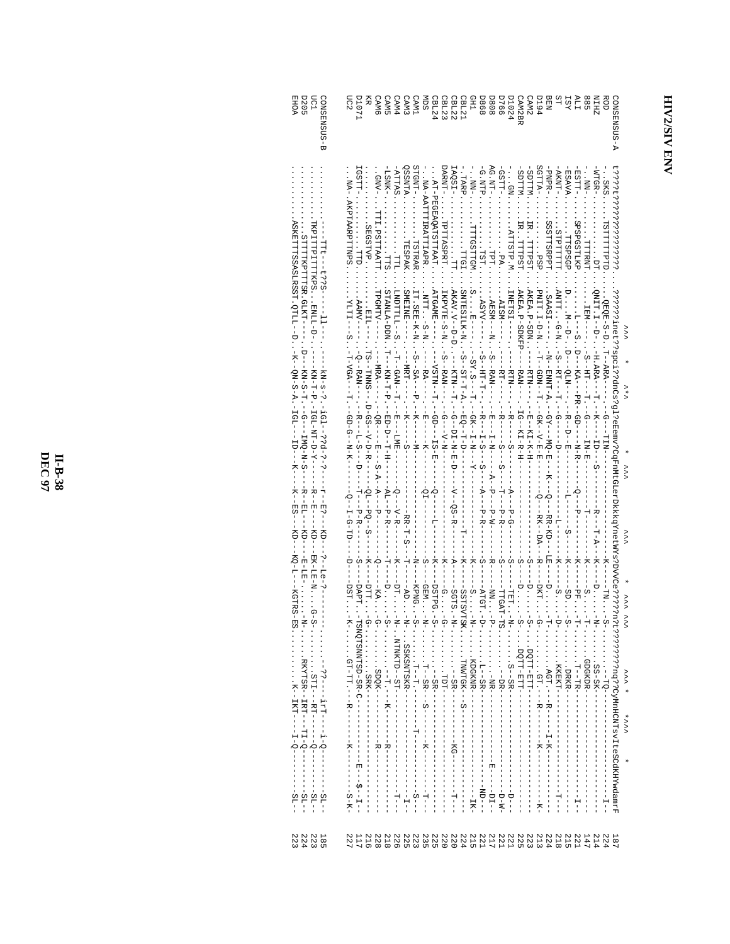| nc1<br><b>D205</b><br>SONSENSIS-B<br><b>EHOP</b>                                                                                                                                                                              | nc2                | D1071                                                |                                     | CAM6                                                      | CAM5                                                                         | CAM4                                                                 | CMAC                                                              | CAM1                                                                  | ŠЩ                                                                                                                | CBL24                                    | CBL23                                                                          | CBL22                                                                                 | <b>CBL21</b>                                            | GEL                                                                                               | <b>D868</b>                                                      | <b>D808</b>          | <b>D766</b>                                                                                                            | <b>21024</b>                                        | CAM2BR                                                                           | <b>CMAS</b>                                                | <b>P6IO</b>                                                                               | BEN                  | ST                                                                                       | <b>LSZ</b>                                                                             | Ľ                                                                   | 588                                                                                        | ZHIN  | ROD                                 | <b>A-SUSNESMOD</b>  |                                               |
|-------------------------------------------------------------------------------------------------------------------------------------------------------------------------------------------------------------------------------|--------------------|------------------------------------------------------|-------------------------------------|-----------------------------------------------------------|------------------------------------------------------------------------------|----------------------------------------------------------------------|-------------------------------------------------------------------|-----------------------------------------------------------------------|-------------------------------------------------------------------------------------------------------------------|------------------------------------------|--------------------------------------------------------------------------------|---------------------------------------------------------------------------------------|---------------------------------------------------------|---------------------------------------------------------------------------------------------------|------------------------------------------------------------------|----------------------|------------------------------------------------------------------------------------------------------------------------|-----------------------------------------------------|----------------------------------------------------------------------------------|------------------------------------------------------------|-------------------------------------------------------------------------------------------|----------------------|------------------------------------------------------------------------------------------|----------------------------------------------------------------------------------------|---------------------------------------------------------------------|--------------------------------------------------------------------------------------------|-------|-------------------------------------|---------------------|-----------------------------------------------|
| HXPITHTHTHTTXPSMXLL-U-<br>. STTTTKPTTTSR . GLKT---- - D----KN--S-T . --G----HMQ-N-S--------------<br>ASKETTISSASIRSSET, QTIL--U. . -K--QN-S-A . -HGL----HD----K--<br>TTt ---t??S--<br>$- - - - - - - - - - - -$<br>$-R$ – $-$ | . NA- AKPTARETTN-S | LGSJLI-<br>$\cdot$ . The $\cdot$<br>$-1$ . A AMV $-$ | . SEGSTVP.<br>$\therefore$ EIL----- | $-0M-$<br>TTI. PSTTAATT<br>TPGMTV----<br>----NBA<br>----- | -XIX <sub>-</sub><br>STANIA-DDN !----KN-T-P . --BD-D---!-H-H------AL---P-R-- | <b>ATTAS</b><br>LMDTTLLL--S-T--GAN--T--E----LME--<br>$-9 - -1 - R -$ | <b>ATMSSS</b><br>TESPAK<br>SMETNE----<br>$-1 - K -$<br>$-5 - - -$ | <b>STGNT-</b><br>TSTRAR<br>1T:SEE-K-N:-S--SA---P:--K--<br>$-1$ - $-1$ | .NA-AATTTTTTTTATH<br>N-5-1-5-N<br>$- - - - - - - -$<br>$  \overline{E}$ $ -$<br>$-1$ $-1$ $-1$ $-1$<br>$-10I - -$ | FART-PECEROATSTTAAT<br><b>ATGAME----</b> | <b>JARNT</b><br>. . HPHHASPRH.<br>IRPATE-2-N-2--RAN---<br>$-1 - 2 - 1 - 2 - 1$ | LAQSI-<br>:<br>:<br>:<br>:<br>PKAY、Y--D-D ---- KTN--T . --G--DI-N-B-D------V---QS-R-- | .TARE<br>TDLL.<br>SNTESILK-N-S---ST-T-A.--EQ---T-D----- | $-$ ND $-$<br>NOLLSOLL1:<br>. S E - - - - - - SK . S - - - - T . - - - QK - - I - X - - - - K - - | -G.NTE<br>$\cdots$ . TST.<br>$-1 - 4ZSS$<br>$-1 - 2 - 1 - 2 - 1$ | AG. NT-<br>.<br>Lal. | -LLSS-<br>$\ldots$ PA.<br>. A II SM - - - - - - - - R II - - - - . - - R - - - - - S - - - - S - - - - I - - - P - R - | $\frac{1}{2}$<br>M. PLETE. M<br>$D - d - - - b - -$ | <b>MITTICS</b><br>.IR.TTTPST<br>NXEN.P-0DKFP-----RNN----<br>. - IIQ---XII-X-II-- | SDTTN<br>. IR. . TTTPST<br>- - - E - - K I - K - H - - - - | SGTTA-<br>asannan an<br>PNIT . I - D - N - T - - GDN - - T . - - GR - - V - E - F - - - - | -PNPR-<br>SSSTTSRPPT | <b>AKNT-</b><br>LLLLLLdLS '<br>. ANTT - G - N - S - - RT - - - T . - - G - - - - - D - - | <b>ESAVA</b><br>TTSPSGP<br>. D M - - D - D - - - QLM - - - . - - - R - - D - - E - - - | ESTT-<br>SPSPGSTLKP<br>. L---- S D---- KA---- PR---GD------N-R----- | .<br>.<br>.<br>.<br>$\ldots$ $\ldots$ $\ldots$<br>. . - 5 - - 모더 - - - - - 다 . - - - 0 - - | WTGR- | SXS.<br>QEQE-S-DT--ARA---------THN- | 7332333333333333333 | $\checkmark$<br>,*∗<br>$\checkmark$           |
| E----HZD--<br>E-1-1/D----De--2<br>$-55-1$                                                                                                                                                                                     |                    | $-5 -$                                               | $-K$ – $-$                          | $-5-$                                                     |                                                                              |                                                                      | --RR-T-S-                                                         |                                                                       | $-5-$                                                                                                             |                                          |                                                                                |                                                                                       | $-1$ $-1$ $-1$                                          |                                                                                                   |                                                                  | i<br>∽!              | $-5$ -                                                                                                                 | $-5$ -                                              | $\frac{5}{1}$                                                                    |                                                            |                                                                                           |                      |                                                                                          | S------K---                                                                            | $-K-1$                                                              |                                                                                            |       |                                     |                     | $\checkmark$                                  |
| - EK-LE-N-X.                                                                                                                                                                                                                  |                    |                                                      | $-11111 - 0$                        |                                                           |                                                                              | $-1 + 1 + 1$                                                         |                                                                   | $-KPNG. -$                                                            |                                                                                                                   |                                          |                                                                                |                                                                                       |                                                         |                                                                                                   |                                                                  |                      |                                                                                                                        |                                                     |                                                                                  |                                                            |                                                                                           |                      | $-5.1.1 -$                                                                               | $-5D$                                                                                  | $- -  - -$                                                          |                                                                                            |       | IN - 2 -                            |                     | xxx xxx                                       |
|                                                                                                                                                                                                                               |                    |                                                      |                                     |                                                           |                                                                              |                                                                      |                                                                   |                                                                       |                                                                                                                   |                                          |                                                                                |                                                                                       |                                                         |                                                                                                   |                                                                  |                      |                                                                                                                        |                                                     |                                                                                  |                                                            |                                                                                           |                      | U-xxxxx+-----                                                                            |                                                                                        |                                                                     |                                                                                            |       |                                     |                     | $*$ $\vee\vee\vee$<br>$\star$ $\star$ $\star$ |
| 1 2 2 3<br>2 2 3 4<br>5 3 4<br>223                                                                                                                                                                                            | 227                |                                                      |                                     |                                                           | 20<br>2022211<br>2022                                                        |                                                                      |                                                                   |                                                                       |                                                                                                                   |                                          |                                                                                |                                                                                       |                                                         |                                                                                                   |                                                                  |                      |                                                                                                                        |                                                     |                                                                                  |                                                            |                                                                                           |                      | 218                                                                                      |                                                                                        | 2215                                                                | 147                                                                                        |       | 224<br>214                          | 181                 |                                               |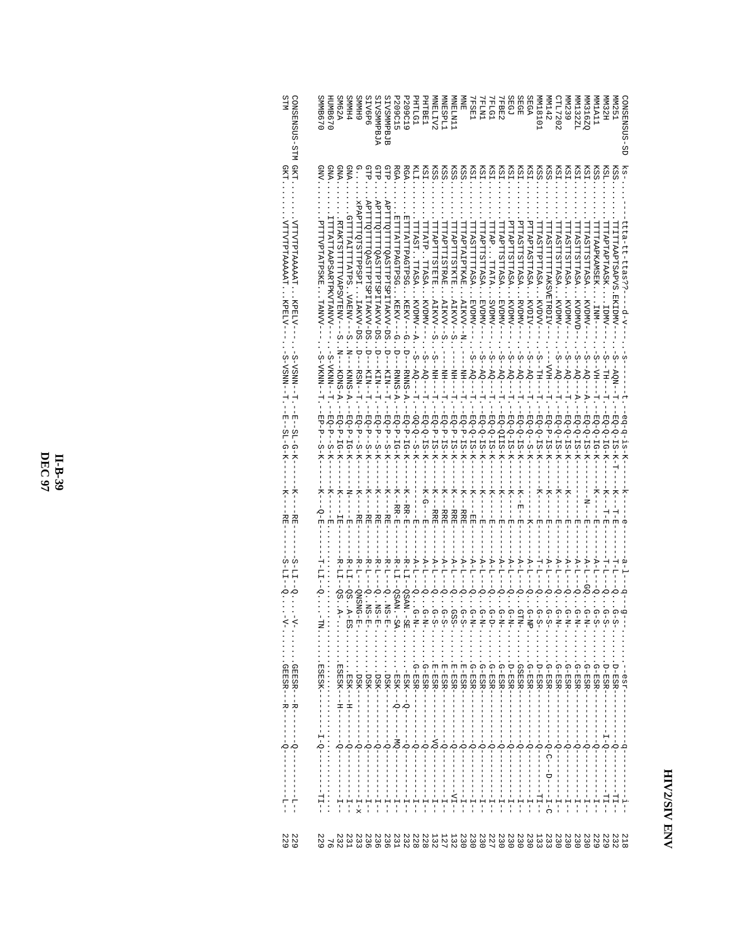| STM<br>MTS-SUSNESMOS                                                                                              | SMMB670                           | <b>JUMB670</b>                               | <b>SM62A</b>                                     | <b>PHNMS</b>                        | <b>GHNWS</b>                              | <b>IV6P6</b>                                                | <b>AUBRITA</b>                                  | <b>IVSMMPBJB</b>                                | P209C15                                              | P209C19                              | <b>TOTLE</b>                                | <b>THERT</b>                                                   | <b>MELIVZ</b>                                             | <b>MESPLI</b>                                 | <b>INTINIT</b>                                 | 白<br>医                                                   | <b>IESEI</b>                              | <b>INTHZ</b>                      | <b>TETGI</b>                            | <b>ZEBE2</b>                           | CPEG                                     | <b>SEGE</b>                             | <b>SEGA</b>                                | LOI8IM                                           | W142                                      | <b>Z0ZZTLI</b>                                   | M239                                              | <b>M13227</b>                                 | <b>M316ZQ</b>                        | <b>M1A11</b>                                       | <b>M32H</b>                     | <b>M251</b>                               | CONSENSI                             |
|-------------------------------------------------------------------------------------------------------------------|-----------------------------------|----------------------------------------------|--------------------------------------------------|-------------------------------------|-------------------------------------------|-------------------------------------------------------------|-------------------------------------------------|-------------------------------------------------|------------------------------------------------------|--------------------------------------|---------------------------------------------|----------------------------------------------------------------|-----------------------------------------------------------|-----------------------------------------------|------------------------------------------------|----------------------------------------------------------|-------------------------------------------|-----------------------------------|-----------------------------------------|----------------------------------------|------------------------------------------|-----------------------------------------|--------------------------------------------|--------------------------------------------------|-------------------------------------------|--------------------------------------------------|---------------------------------------------------|-----------------------------------------------|--------------------------------------|----------------------------------------------------|---------------------------------|-------------------------------------------|--------------------------------------|
| <b>GKT</b><br><b>GKL</b><br>VTTVTPTAAAAAEELV--<br>VTTVTPTAAAAAAAAH.                                               | - AMAN-                           | <b>GNA</b><br><b>ITTTATTAAPSARTPKVTANVV-</b> | <b>GNA</b><br>RHARTSHTTTTTXAPSCYTENY----S.       | <b>GNA</b><br><b>GILVILLIVILLID</b> | XPAPITIOISISTIPPSPIIIAXXV-DSD----RSN--H   | GLLD<br>APTTQTTTTTTTTPTSPTTFTAKVV-DS                        | GTP<br>APTTQTTTQASTTPTSPITAKVV-DS.              | GLLD<br>APTTTQTTTTQASTTPTSPTTAKVVV-DSD---KIN--T | RGA                                                  | RGA<br>ETTTATTPAGTPSGKEKV---GPRNNS-A | "TTAST. TTTASA. . KVDMV--A. .<br>-8--AQ---T | KSI<br>"TTATTA". TTASAKVDMV---                                 | KSS<br><b>HIRPTHESTER</b><br>$.A. RIVV--S$ .              | ΚSS<br><b>TTRPTTSTFSFRAE</b><br>$. AIFVV - S$ | ΚSS<br>TTTAPTTTSTKTE<br>. AIKVV--S             | KSS<br>TTTAPTAIPTKAE<br>$\Lambda$ - AVV<br>- $\Lambda$   | KS1<br><b>FITASTTTTRSA</b><br>$-2M$ $-1$  | KSI<br>ASATTSTTSATT<br>$-NM \Box$ | KSI<br>FTTAP. . TTATA<br>$-NMS -$       | KSI<br><b>ASATTSTTSATT</b><br>- VNOVI- | KSI<br><b>ASATTSTTSTTASA</b><br>- KVDMV- | KS1<br><b>TTASTTSTTASA.</b><br>- RVDMV- | KS <sub>I</sub><br>TTAPTASTTASA.<br>-VDIV- | <b>KSS</b><br><b>TTASATTASA.</b><br>-WOWN-       | <b>KSS</b><br><b>VIORIANS AKSVETETTEN</b> | <b>KSI</b><br><b>TTTASTTASA.</b><br>. KVDMV-     | <b>KSI</b><br><b>ITTASTTSTTASA.</b><br>- - VYDMV- | <b>KSI</b><br><b>ASALLSLLSVLLL</b><br>CAMANY. | KSI<br><b>ASATTSTTSATT</b><br>KVDMV- | <b>KSS</b><br><b>LITTAARKAMSER</b><br>$-1$ MNT $-$ | KSL<br>TTTAPTAPTAASK<br>- VMQI  | šS<br><b>SAARSLAPERALLE</b><br>BKIDMY-    | ttta-tt-ttas??<br>$-\Delta - \rho -$ |
| יל<br>י<br>Ķ<br>。<br>日<br>.<br>면                                                                                  | S-VKNN--T<br>ż<br>ю<br>Е          | --S-VKNN--T<br>$-BQ-P--S-FK$<br>ķ            | $N = -KDMS - N$<br>$-EQ-P-IG-K$<br>$\frac{1}{2}$ | -EQ-P-IG-K<br>÷<br>$\frac{1}{2}$    | $-BQ-P--S-FK$<br>$\frac{1}{2}$<br>-<br>民民 | . D---- K1N-----<br>$-BQ-P--S-K$<br>$\frac{1}{2}$<br>$-$ RE | . . ロ - - - K I N - - T<br>$-EQ-P--S-K$<br>- RE | $-BQ-P--S-K$<br>$-$ RE                          | $D--RNNS-R$<br>$-BQ-P-IC-FK$<br>-<br>K--<br>ZR-<br>H | $-EQ-E-LG-K$                         | $-60 - 0 - 8 - K$                           | $-5--20--1$<br>$-BQ-CI-S-K$<br>-<br>-<br>-<br>-<br>-<br>-<br>- | $-5 - 12H - - 5$<br>H<br>$-BQ-P-ISZ-K$<br>- K - - - - ARR | --- NH-----<br>$-EQ-P-IS-FK$<br>- K - - - KRE | $-1 - 1 - 1$<br>$-BQ-P-IS-FK$<br>- K - - - KRE | $-1 - 1$<br>$-1 - 1$<br>$-BQ-P-IS-FK$<br>- K - - - - ARR | $-S - 59$<br>$-EQ-CTS-K$<br>$\frac{1}{2}$ | $-S - 2Q -$<br>$-EQ-CLS-K$        | $-50 - 50$<br>$-EQ-CTS-K$               | $S = -RQ$<br>$-EQ-CITSE-K$<br>$-K -$   | $S = -RQ$ .<br>$-EQ-Q-TS-K$              | $S = -RQ$<br>$-EQ-C-TS-K$<br>-<br>지 - H | $S = -RQ$ .<br>$-BQ-C--S-FK$               | $S$ --TH-<br>$-EQ-CISE-K$<br>$\frac{1}{\lambda}$ | VVH.<br>$-BQ-P-ISI-K$<br>ķ                | $S = -RQ$ .<br>$-BQ-Q-TS-K$<br>$\frac{1}{1}$     | $S = -RQ$ .<br>$-BQ-CI-S-K$                       | $S = -RQ$ .<br>$-BQ-CI-S-K$                   | $S = -RQ$ .<br>$-85 - 0 - 12 - K$    | $S$ --VH-<br>$-EQ-C-IG-K$                          | -HL<br>$-BQ-CTG-K$<br>$-5$<br>분 | NÕV.<br>$-BQ-C-TS-K-$<br>$-1$ $\sim$<br>i |                                      |
| $-TTT-$<br>$S - L I - -$<br>Ö<br>Ő<br>$-4$                                                                        |                                   |                                              | $R-LIT$<br>$\ddot{A}$ -                          | $R - L1$<br>$A-ES$ .                | $R-L$ -<br>$-QNSNG-E$                     | R-L-<br>$-Q$ . NS-E                                         | $R - L$<br>$Q$ . $NS-ER$                        | $R - L$<br>$Q$ . NS-E                           | $R - L1$<br>QSAN. - S.                               | $R - L I$<br><b>QSAN. - SE</b>       | $\mathbf{A}-\mathbf{L}-$<br>$-5 - N - 7$    | $A-L-$<br>$-5 - 5 - 7$                                         | $\rm A-L-$                                                | $A-L-$<br>$G - S$                             | $-5 - 1$<br>.ess.                              | -A-L-<br>$G-S$                                           | $-1 - 1$<br>$\mathbb{G}-\mathbb{N}$       | $-4-1$<br>$-5 - N$                | $-4-1-$<br>$G-D-$                       | $Y$ – $\Gamma$<br>$R - D$              | $A-L$<br>$R - D$                         | $A-L$<br>CTN.                           | $A - L$<br>G-NP.                           | $T-T$<br>G-S                                     | $A - L$<br>$G - S$                        | $A - I$<br>$R - D$                               | $A-L$<br>$R - D$                                  | $A-L$<br>$G - N$                              | $A-L$<br>$R - D$                     | $A - L$<br>$G - S$                                 | $G - S$                         | G-5                                       |                                      |
| $-1 - R - 1 - R - 1$<br>. GEESR---------<br>$\begin{array}{c}\n-1 \\ -1 \\ -1\n\end{array}$<br>$-1 - 1 -$<br>$-1$ | $ESEER---$<br>$-5 - 7 -$<br>$-11$ | $\vdots$                                     | $\cdot$ ESESK---H-<br>$\frac{1}{1}$              | $\ldots$ ESK----H-<br>$\frac{1}{1}$ | $\ldots$ DSK-----<br>$x - 1$              | $\ldots$ DSK-----<br>$\overline{1}$                         | $\ldots$ DSK-----<br>부                          | pdk------<br>Ţ                                  | $-EBK--O--$<br>Ţ                                     | Ţ                                    | $-G-ESE-$<br>Ţ                              | $\cdots$ G-ESR-<br>$-5 - -$<br>부                               | $\ldots E-EESE$<br>$-50$<br>Ť                             | E-ESR-<br>$\overline{Q}$                      | E-ESR-<br>$-9 - -$<br>$-1\Delta$               | - HORP-----<br>$-6 - -$<br>$-1$                          | $\cdots$ G-ESR-<br>$-1$                   | d-ESR-----<br>$-5 - -$<br>$-1$    | $\cdots$ G-RSK-----<br>$- -5 -$<br>$-1$ | $\cdots$ G-ESR-<br>$\frac{1}{1}$       | .D-ESR-<br>$-1$                          | $\ldots$ GSESE-<br>$-1 - 1 - \cdots$    | $-9 - 125R -$<br>$-1 - 1 - - \cdots$       | $\ldots$ D-ESR-<br>0-------<br>$-1 - 1 - 1 - 1$  | $\ldots$ G-ESR-<br>0-1-1-1-1-1            | $\cdot$ G-ESR-<br>$\frac{1}{1}$<br>$\frac{1}{1}$ | $\ldots$ G-ESR-<br>$-1$                           | $G-ESE-$                                      | $G-ESE$ .                            | $-9 - 125R -$                                      | $-D-ESR-$<br>$-1$<br>$-LL$ -    | $-D-ESR-$<br>$-11-$                       | $-28B -$<br>$-1 - -$                 |
| 229<br>229                                                                                                        |                                   |                                              |                                                  | 231                                 | 233                                       | 236                                                         |                                                 |                                                 |                                                      |                                      |                                             |                                                                |                                                           |                                               |                                                |                                                          |                                           |                                   |                                         |                                        |                                          |                                         |                                            |                                                  | 233                                       | 230                                              | 230                                               | 230                                           | 230                                  | 21222<br>22222                                     |                                 |                                           |                                      |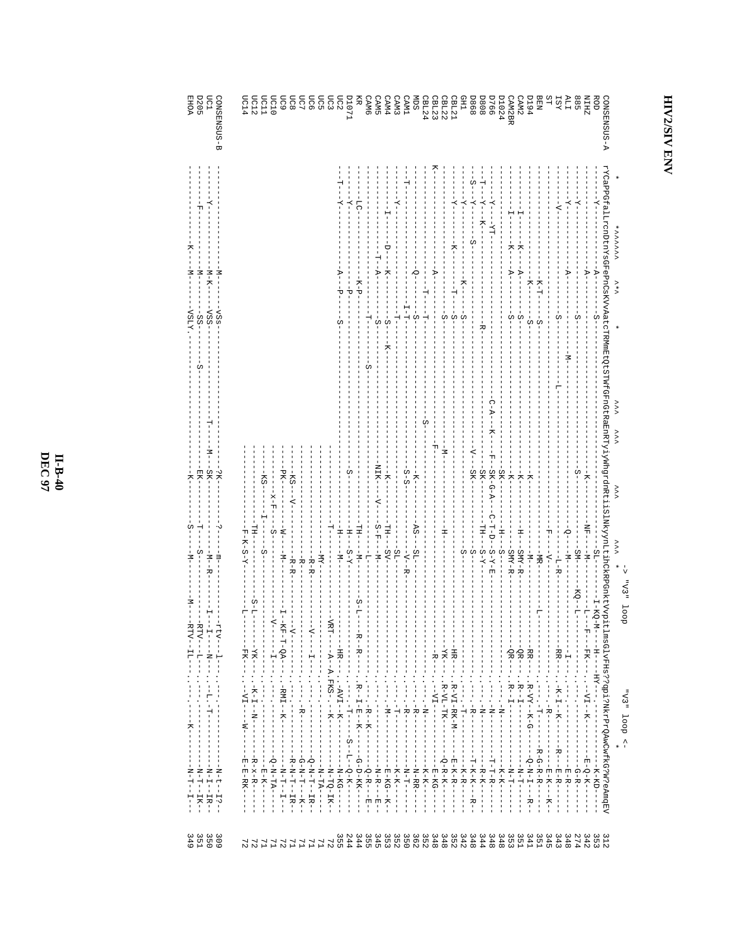| CBL24<br>CBL23<br>CBL21<br><b>1024</b><br>CAM2BR<br>CBL22<br>C<br>$\overline{\mathbf{y}}$<br>$-K-$<br>$\frac{1}{4}$<br>$-5$<br>5<br>- I.X -<br>ΣĻ<br>w<br>Κ-<br>주<br>무<br>ーー<br>⊅<br>ፓ<br>$\ddot{A}$<br>ှ<br>၂<br>í<br>$\frac{A}{A}$<br>スーア<br>K-<br>スー<br>K-T<br>ť<br>t<br>E<br>ÜΩ<br>ÜΩ<br>ÜΩ<br>ΰ<br>ÜΩ<br>S<br>n<br>S<br>S<br>ı<br>S<br>S<br>w<br>S<br>꼬<br>ř<br>Ŧ<br>co<br>ᅿ<br>$\frac{1}{1}$<br>₹<br>눤<br>$-SK-G-R$<br>$-5K-$<br>NIK-<br>-SK-<br>CΩ<br>$S-$ S<br>$-1/2$<br>SK-<br>$SK-$<br>$-K^-$<br>خ<br>$KS-$<br>2<br>$x-F$<br>ř<br>$C - T - D - -S - Y - E$<br>$-1$<br>$S - F - -N - -N -$<br>년<br>$-NS$ --HL<br>$\text{AS}$ -<br>ł<br>ပိ<br>$\frac{1}{2}$<br>‡<br>T<br>$-H$<br>-H1<br>HH-<br>$-H$<br>$K-S-K-K$<br>뵤<br>ŧ<br>ŧ<br>吋<br>ή<br>$-1$ $-1$<br>-9<br>-<br>--N-<br>$-75$ -<br>$-\frac{1}{N-1}$<br>$-1M -$<br>$-SMZ - R$<br>.<br>15<br>$SMY-FR$<br>$-MR$ –<br>$-SM -$<br>- 1- 5<br>$-S-X$ -<br>$-M$ –<br>Сh<br>ς<br>Γ<br>ς-<br>ဂု<br>ーズ<br>-<br>$-\Delta - -K$<br>$-1 - F - F -$<br>- - R - R<br>$\overline{\mathrm{a}}$<br>$-M-$<br>۲<br>-R-R | GONSENSUS-A<br>rYCaPPGfalLrcnDtnYsGFePnCsKVvAatCTRMmEtQtSTWfGFnGtRaEnFYjYWhgrdnRtiiSlMkyynLtihCkRPGnktVvpi<br>ပ္ပံ |
|-----------------------------------------------------------------------------------------------------------------------------------------------------------------------------------------------------------------------------------------------------------------------------------------------------------------------------------------------------------------------------------------------------------------------------------------------------------------------------------------------------------------------------------------------------------------------------------------------------------------------------------------------------------------------------------------------------------------------------------------------------------------------------------------------------------------------------------------------------------------------------------------------------------------------------------------------------------------------------------------------------------------------------------------------------------------|--------------------------------------------------------------------------------------------------------------------|
|                                                                                                                                                                                                                                                                                                                                                                                                                                                                                                                                                                                                                                                                                                                                                                                                                                                                                                                                                                                                                                                                 |                                                                                                                    |
|                                                                                                                                                                                                                                                                                                                                                                                                                                                                                                                                                                                                                                                                                                                                                                                                                                                                                                                                                                                                                                                                 |                                                                                                                    |
|                                                                                                                                                                                                                                                                                                                                                                                                                                                                                                                                                                                                                                                                                                                                                                                                                                                                                                                                                                                                                                                                 |                                                                                                                    |
|                                                                                                                                                                                                                                                                                                                                                                                                                                                                                                                                                                                                                                                                                                                                                                                                                                                                                                                                                                                                                                                                 |                                                                                                                    |
|                                                                                                                                                                                                                                                                                                                                                                                                                                                                                                                                                                                                                                                                                                                                                                                                                                                                                                                                                                                                                                                                 |                                                                                                                    |
|                                                                                                                                                                                                                                                                                                                                                                                                                                                                                                                                                                                                                                                                                                                                                                                                                                                                                                                                                                                                                                                                 |                                                                                                                    |
|                                                                                                                                                                                                                                                                                                                                                                                                                                                                                                                                                                                                                                                                                                                                                                                                                                                                                                                                                                                                                                                                 |                                                                                                                    |
|                                                                                                                                                                                                                                                                                                                                                                                                                                                                                                                                                                                                                                                                                                                                                                                                                                                                                                                                                                                                                                                                 |                                                                                                                    |
|                                                                                                                                                                                                                                                                                                                                                                                                                                                                                                                                                                                                                                                                                                                                                                                                                                                                                                                                                                                                                                                                 |                                                                                                                    |
|                                                                                                                                                                                                                                                                                                                                                                                                                                                                                                                                                                                                                                                                                                                                                                                                                                                                                                                                                                                                                                                                 |                                                                                                                    |
|                                                                                                                                                                                                                                                                                                                                                                                                                                                                                                                                                                                                                                                                                                                                                                                                                                                                                                                                                                                                                                                                 |                                                                                                                    |
|                                                                                                                                                                                                                                                                                                                                                                                                                                                                                                                                                                                                                                                                                                                                                                                                                                                                                                                                                                                                                                                                 |                                                                                                                    |
|                                                                                                                                                                                                                                                                                                                                                                                                                                                                                                                                                                                                                                                                                                                                                                                                                                                                                                                                                                                                                                                                 |                                                                                                                    |
|                                                                                                                                                                                                                                                                                                                                                                                                                                                                                                                                                                                                                                                                                                                                                                                                                                                                                                                                                                                                                                                                 |                                                                                                                    |
|                                                                                                                                                                                                                                                                                                                                                                                                                                                                                                                                                                                                                                                                                                                                                                                                                                                                                                                                                                                                                                                                 |                                                                                                                    |
|                                                                                                                                                                                                                                                                                                                                                                                                                                                                                                                                                                                                                                                                                                                                                                                                                                                                                                                                                                                                                                                                 |                                                                                                                    |
|                                                                                                                                                                                                                                                                                                                                                                                                                                                                                                                                                                                                                                                                                                                                                                                                                                                                                                                                                                                                                                                                 |                                                                                                                    |
|                                                                                                                                                                                                                                                                                                                                                                                                                                                                                                                                                                                                                                                                                                                                                                                                                                                                                                                                                                                                                                                                 |                                                                                                                    |
|                                                                                                                                                                                                                                                                                                                                                                                                                                                                                                                                                                                                                                                                                                                                                                                                                                                                                                                                                                                                                                                                 |                                                                                                                    |
|                                                                                                                                                                                                                                                                                                                                                                                                                                                                                                                                                                                                                                                                                                                                                                                                                                                                                                                                                                                                                                                                 |                                                                                                                    |
|                                                                                                                                                                                                                                                                                                                                                                                                                                                                                                                                                                                                                                                                                                                                                                                                                                                                                                                                                                                                                                                                 |                                                                                                                    |
|                                                                                                                                                                                                                                                                                                                                                                                                                                                                                                                                                                                                                                                                                                                                                                                                                                                                                                                                                                                                                                                                 |                                                                                                                    |
|                                                                                                                                                                                                                                                                                                                                                                                                                                                                                                                                                                                                                                                                                                                                                                                                                                                                                                                                                                                                                                                                 |                                                                                                                    |
|                                                                                                                                                                                                                                                                                                                                                                                                                                                                                                                                                                                                                                                                                                                                                                                                                                                                                                                                                                                                                                                                 |                                                                                                                    |
|                                                                                                                                                                                                                                                                                                                                                                                                                                                                                                                                                                                                                                                                                                                                                                                                                                                                                                                                                                                                                                                                 |                                                                                                                    |
|                                                                                                                                                                                                                                                                                                                                                                                                                                                                                                                                                                                                                                                                                                                                                                                                                                                                                                                                                                                                                                                                 |                                                                                                                    |
|                                                                                                                                                                                                                                                                                                                                                                                                                                                                                                                                                                                                                                                                                                                                                                                                                                                                                                                                                                                                                                                                 |                                                                                                                    |

### II-B-40<br>DEC 97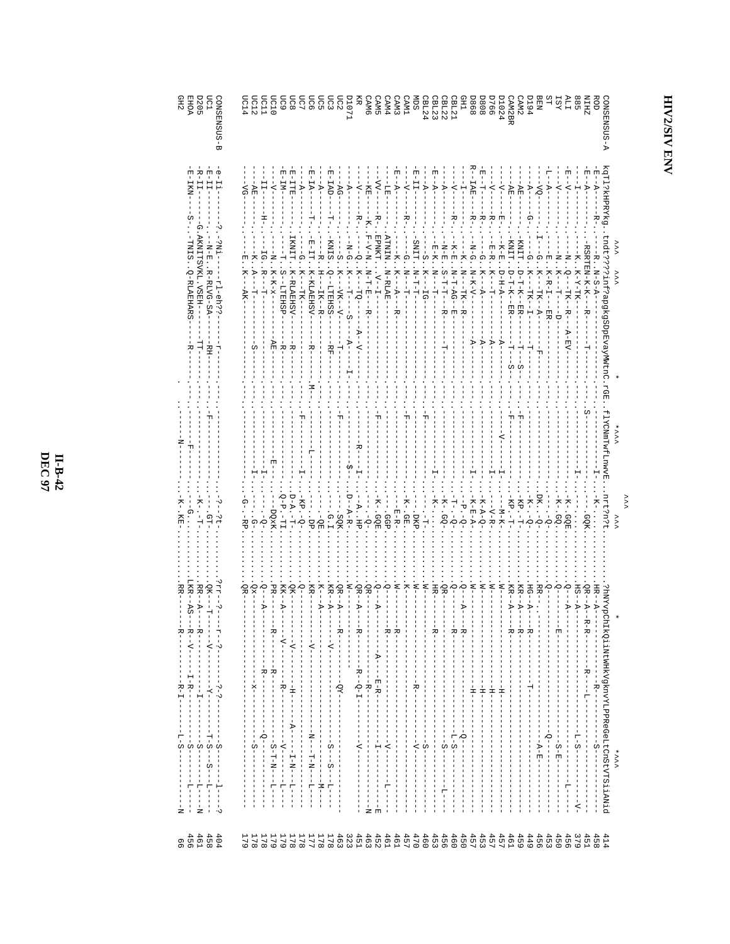|                               | $* \times$                                                                     |         |                                                                                                                                                                                                                                                                                                                                                                                      |                                                                             |                                                             | キンメン                                                                          |                                                                                                             |
|-------------------------------|--------------------------------------------------------------------------------|---------|--------------------------------------------------------------------------------------------------------------------------------------------------------------------------------------------------------------------------------------------------------------------------------------------------------------------------------------------------------------------------------------|-----------------------------------------------------------------------------|-------------------------------------------------------------|-------------------------------------------------------------------------------|-------------------------------------------------------------------------------------------------------------|
| -SOSENSDIS-                   | kqTl?kHPRYkg.<br>tndt???inf?apgkgSDpEvayMWtnC.rGE<br>flYCNmTwfLnwvE.           |         | nrt?n?t                                                                                                                                                                                                                                                                                                                                                                              | PANYvpc1                                                                    |                                                             | IkQiiNtWHkVgknvYLPPReGeLtCnStVTSiiANid                                        | 414                                                                                                         |
| gg                            | ローヤー<br>$-R$ . $N-S-A$                                                         |         |                                                                                                                                                                                                                                                                                                                                                                                      | HR--A-                                                                      |                                                             | $\frac{1}{1}$                                                                 | 458                                                                                                         |
| ZHIN                          | 円!<br>!<br>RSRHEN-K-K----R-                                                    |         | -- . GQK                                                                                                                                                                                                                                                                                                                                                                             | $QR - -A -$                                                                 |                                                             | $\begin{array}{c} 1 \\ 1 \\ 1 \end{array}$                                    | 451                                                                                                         |
| <b>G88</b>                    | K-Y-TK                                                                         |         |                                                                                                                                                                                                                                                                                                                                                                                      | $HS$ --                                                                     |                                                             |                                                                               | $379$<br>456                                                                                                |
| <b>LST</b><br>Ĕ               | 円ートイー<br>. . K - - - - T - -<br>$-\Delta - E\Delta$                            |         | $-K-1G$<br>K-.GQE                                                                                                                                                                                                                                                                                                                                                                    | $-6 -$<br>$\sum_{i=1}^{n}$<br>$-V-$<br>- EN - - - - - - - - - - - - - - - - |                                                             |                                                                               | 450                                                                                                         |
| Ş                             | $-4 - 7$<br>ė<br>$K - R - I -$<br>$-HH -$                                      |         | $\dot{\circ}$                                                                                                                                                                                                                                                                                                                                                                        | $\sum_{i=1}^{n}$                                                            |                                                             | $---0----$                                                                    | 453                                                                                                         |
| <b>BEN</b>                    | ŏΔ-<br>က်<br><b>ス---コス--マ</b> -<br>견                                           |         | .DK-9                                                                                                                                                                                                                                                                                                                                                                                | $R$ R-                                                                      |                                                             |                                                                               | 456                                                                                                         |
| <b>SMA:<br/>P6TC</b>          | ဂှ<br>K - - - TK - - H -                                                       |         | $-K-1$ - $K-1$                                                                                                                                                                                                                                                                                                                                                                       | $HG-$                                                                       |                                                             | $\frac{1}{1}$<br>$\frac{1}{1}$<br>$-1$ $-1$ $-1$ $-1$ $-1$ $-1$ $-1$          | 449                                                                                                         |
|                               | $-ABE$<br>LINN-<br>. D - T - K - - ER-<br>۲<br>T<br>i<br>S                     |         | $-KP$ . $-T-$                                                                                                                                                                                                                                                                                                                                                                        | $KR - -A$<br>- 72 - - - - - - - - - - - - - - -                             |                                                             | $-1$ $-1$ $-1$ $-1$ $-1$ $-1$ $-1$                                            | $459$<br>$461$                                                                                              |
| <b>TAM2BR</b>                 | $-AR$<br><b>KNITT</b><br>. D - T - K - - ER-<br>$\frac{1}{1}$<br>S             |         | $-15P - 17-$                                                                                                                                                                                                                                                                                                                                                                         | KR--<br>∀−<br>ー<br>H<br>H<br>                                               | $\frac{1}{1}$                                               |                                                                               |                                                                                                             |
| <b>D1024</b>                  | $-4$<br>٣<br>K-E<br>$-A-H-A-C$<br>$-4$                                         |         | $- -M - K$                                                                                                                                                                                                                                                                                                                                                                           | $-1$                                                                        |                                                             |                                                                               |                                                                                                             |
| <b>D766</b>                   | - - ^-<br>−k<br>ヨー氏<br>- H – – – – – – –<br>$-4-$                              |         | ----V-R                                                                                                                                                                                                                                                                                                                                                                              | ∑<br>                                                                       |                                                             |                                                                               |                                                                                                             |
| <b>D808</b>                   | −k<br>K – – – A.<br>A<br>i                                                     |         | $-K - A - Q$                                                                                                                                                                                                                                                                                                                                                                         | M -                                                                         |                                                             |                                                                               |                                                                                                             |
| <b>868</b>                    | $S = - I AR$<br>훠<br>$\frac{1}{2}$<br>$-N-K-N-$                                |         | $-K-E-R$                                                                                                                                                                                                                                                                                                                                                                             | ₹                                                                           |                                                             |                                                                               |                                                                                                             |
| Ĕ                             | $X - - -$<br>خ<br>ا                                                            |         | $-5 - -6 -$                                                                                                                                                                                                                                                                                                                                                                          | $\cdot$ .9--<br>$-\nabla -$<br>-R----------                                 | $\begin{bmatrix} 1 \\ 1 \\ 1 \\ 1 \end{bmatrix}$            | $- - - - - - - - - - - -$                                                     | 444444444<br>555556555                                                                                      |
| <b>CEL22</b><br><b>121.21</b> | - 4-<br>−k<br>$N - E$<br>$K - E$<br>-R-1-1-1--R-<br>$\cdot N - T - RG - - E -$ |         | $-K - . GQ$<br>$-1-1-0$                                                                                                                                                                                                                                                                                                                                                              | $QR -$<br>$-5$                                                              |                                                             |                                                                               |                                                                                                             |
| CEL23                         | ローアー<br>H-K<br>-1------                                                        |         | $\overline{K}$ $\overline{K}$ $\overline{K}$ $\overline{K}$ $\overline{K}$ $\overline{K}$ $\overline{K}$ $\overline{K}$ $\overline{K}$ $\overline{K}$ $\overline{K}$ $\overline{K}$ $\overline{K}$ $\overline{K}$ $\overline{K}$ $\overline{K}$ $\overline{K}$ $\overline{K}$ $\overline{K}$ $\overline{K}$ $\overline{K}$ $\overline{K}$ $\overline{K}$ $\overline{K}$ $\overline{$ | HR-<br>ート<br>1                                                              |                                                             | $\frac{1}{1}$<br>$\mathbf{I}$                                                 |                                                                                                             |
| CBL24                         | - + +<br>$S - 2$<br>$K--TC--$<br>퍽                                             |         | .<br>ה                                                                                                                                                                                                                                                                                                                                                                               | $-1$                                                                        |                                                             | $-1$ + $-1$ + $-1$ 50 + $-1$ + $-1$ + $-1$ + $-1$ + $-1$                      |                                                                                                             |
| ₿                             | E-11.<br>LINS-<br>. . N - H - H -                                              |         | - DKP                                                                                                                                                                                                                                                                                                                                                                                | ₹                                                                           |                                                             |                                                                               |                                                                                                             |
| <b>LMA</b>                    | $L = -1$                                                                       |         | K-.GE.                                                                                                                                                                                                                                                                                                                                                                               | Κ-                                                                          |                                                             | $\frac{1}{1}$<br>$-1$ $-1$ $-1$ $-1$ $-1$ $-1$                                | 44750<br>4557<br>467                                                                                        |
| <b>CMAC</b>                   | ۳                                                                              |         | - E-R-R-                                                                                                                                                                                                                                                                                                                                                                             | $\sum_{i=1}^{n}$<br>- R - - - - - - - - - - - - - -                         | $\begin{array}{c} 1 \\ 1 \\ 1 \end{array}$                  | $\begin{array}{c} \n 1 \\  1 \\  1\n \end{array}$                             |                                                                                                             |
| CAM4                          | -<br>日1<br>ATNININ . N-RLAE-                                                   |         | GOD.                                                                                                                                                                                                                                                                                                                                                                                 | $\dot{\circ}$<br>-R---------                                                | $\begin{array}{c} 1 \\ 1 \\ 1 \end{array}$<br>$\frac{1}{1}$ |                                                                               | 461<br>452                                                                                                  |
| CAM5                          | $-3$<br>, ĸ-<br>EPNKT<br>$\cdots$ V--1-1-<br>먹                                 |         | $-K-1.00E$                                                                                                                                                                                                                                                                                                                                                                           | $\frac{1}{2}$<br>A-                                                         |                                                             | 因                                                                             |                                                                                                             |
| CAM6                          | 노<br>지<br>ヨーヘーズ<br>. . N-H-H-<br>÷<br>ا                                        |         | $-5 - -$                                                                                                                                                                                                                                                                                                                                                                             | $-8B-$<br>$\begin{array}{c} 1 \\ 1 \\ 1 \end{array}$                        | $- - B - -$<br>$\mathbf{I}$                                 | Ţ<br>$\mathbf{I}$<br>$\mathbf{I}$<br>J.<br>Ţ<br>$\frac{1}{1}$<br>ţ<br>$N - -$ | $\begin{array}{cccc}\n4 & 4 & 3 & 3 & 4 & 6 \\ 0 & 5 & 3 & 3 & 6 & 6 \\ 7 & 7 & 8 & 3 & 6 & 8\n\end{array}$ |
| <b>17071</b>                  | $\dot{z}$<br>−k<br>$-K--LC--$<br>$A - V -$<br>ᆽ                                |         | --A. . HP                                                                                                                                                                                                                                                                                                                                                                            | $-9R-$<br>∀−                                                                | - A - - - - - - - A - - O - H - - - -                       | -----------                                                                   |                                                                                                             |
| LC <sub>2</sub>               | - AG<br>.<br>प-<br>$-M-C$<br>$\sim 5$<br>$-4-$<br>۳Ì                           | ي۔<br>ا | $D - -R - R -$<br>SQK                                                                                                                                                                                                                                                                                                                                                                | $\sum_{i=1}^{n}$<br>$QR - -A$                                               |                                                             | T                                                                             |                                                                                                             |
| UC3                           | ローエアロ<br>-KNIS · · O--LIERSS-<br>- 보도 –                                        |         | $\frac{1}{2}$                                                                                                                                                                                                                                                                                                                                                                        | $K$ R $-$ A $-$<br>$- - - - - - - - -$                                      | $\frac{1}{1}$                                               |                                                                               |                                                                                                             |
| C5                            | $-\nabla -$<br>–<br>⊭<br>$-1$                                                  |         | $-2E$                                                                                                                                                                                                                                                                                                                                                                                | $K - -$<br>⊅                                                                | $\begin{array}{c} \n 1 \\  1 \\  1\n \end{array}$           | $- - - - - - - - -$                                                           |                                                                                                             |
| JC6                           | E-IA-<br>$-11 - 71$<br>-YAEHSV-<br>₩                                           |         | -- . - .<br>PP                                                                                                                                                                                                                                                                                                                                                                       | KR-                                                                         |                                                             |                                                                               |                                                                                                             |
| 10L                           | - A-<br>ドー                                                                     |         | $-KP$ . $-Q$ -                                                                                                                                                                                                                                                                                                                                                                       | $\overline{O}$ .<br>$\frac{1}{1}$                                           |                                                             | $\frac{1}{1}$<br>ł.                                                           | 11111112<br>212229<br>2222                                                                                  |
| $\frac{5}{8}$                 | F- 11H<br>IKNIT.<br>. K-RLAEHSV-<br>능                                          |         | $-1 - 2 - 1 -$                                                                                                                                                                                                                                                                                                                                                                       | -ZQK-                                                                       |                                                             |                                                                               |                                                                                                             |
| 109                           | 円 - H スー<br>-S--LTEEHSP-<br>i<br>R-                                            |         | 11-0-0                                                                                                                                                                                                                                                                                                                                                                               | $KK - -A -$                                                                 | – −V – – – – – – – – – − H – – – – – –                      |                                                                               |                                                                                                             |
| TC10                          | $-4$<br>ż.<br>K-K-X--<br>AE                                                    | 변       | ---DQxK                                                                                                                                                                                                                                                                                                                                                                              | PR-<br>- K- - - - - - - - - K- - - - - - - -                                |                                                             | - - - - - - - S - T - N - - - - - - - -                                       |                                                                                                             |
| IC11                          | IG.<br>- R---T-                                                                |         | $-5 -$                                                                                                                                                                                                                                                                                                                                                                               | $-1$<br>A-                                                                  |                                                             | $1 - 1 - 1$ O $-1 - 1 - 1 - 1 - 1 - 1 - 1 - 1$                                |                                                                                                             |
| IC12                          | Ω                                                                              |         |                                                                                                                                                                                                                                                                                                                                                                                      |                                                                             | $-$ - - - - $X$ - - - - - - -                               |                                                                               | $178$<br>179                                                                                                |
| JC14                          | ú<br>.<br>N<br>- AK-                                                           |         | .<br>4번                                                                                                                                                                                                                                                                                                                                                                              | I                                                                           | $\frac{1}{1}$<br>п                                          | п                                                                             |                                                                                                             |
| SUSENS<br>NSENS<br>NO         | $-11-9$<br>l-eh??                                                              |         | $-3 - -6$                                                                                                                                                                                                                                                                                                                                                                            | $-1$ - $-1$ - $-1$ - $-1$                                                   | $-1 - 2 - 3 - 4 - 4$                                        | $---S---$<br>$-1 - 1 - 1 - 1 - 2$                                             |                                                                                                             |
| g                             | $E - 111 -$<br>$-1 - H - E$<br>$R - R L VG - SA -$<br>$-HH -$<br>피             |         | $-10$                                                                                                                                                                                                                                                                                                                                                                                | -L----Z-<br>$- - - - - - - - - -$                                           |                                                             |                                                                               |                                                                                                             |
| <b>D205</b>                   | R-111-<br>AKNITSVKL.VSEH-<br>녑                                                 |         | スー・H-T-                                                                                                                                                                                                                                                                                                                                                                              | .RR-<br>$\overline{r}$<br>- B-------                                        |                                                             | $--- - - - - - - -$<br>$\mathbf{N}=-1\mathbf{J}=-\mathbf{N}$                  | 4 4 4 4 4<br>0 5 6 6 5 7<br>4 8 4 6 7                                                                       |
| EHOA                          | E-IKN<br><b>TNTS</b><br>Q-RLAEHARS<br>꼬                                        |         |                                                                                                                                                                                                                                                                                                                                                                                      | KR-<br>AS.<br>- - R - - V - - - - - - H - R - - - - -                       |                                                             | $---S---$<br>I<br>$-1 - 1 - 1 - 1 - 1 - 1$                                    |                                                                                                             |

### $\frac{11-8-42}{\text{DEC~97}}$

GH<sub>2</sub>

 $\ddot{\phantom{0}}$ 

 $\frac{1}{3}$ 

 $-1 - N - -$ 

 $- -R - -$ 

 $-K - I - - -$ 

 $-1 - S - T -$ 

 $N - - -$ 

 $\frac{9}{9}$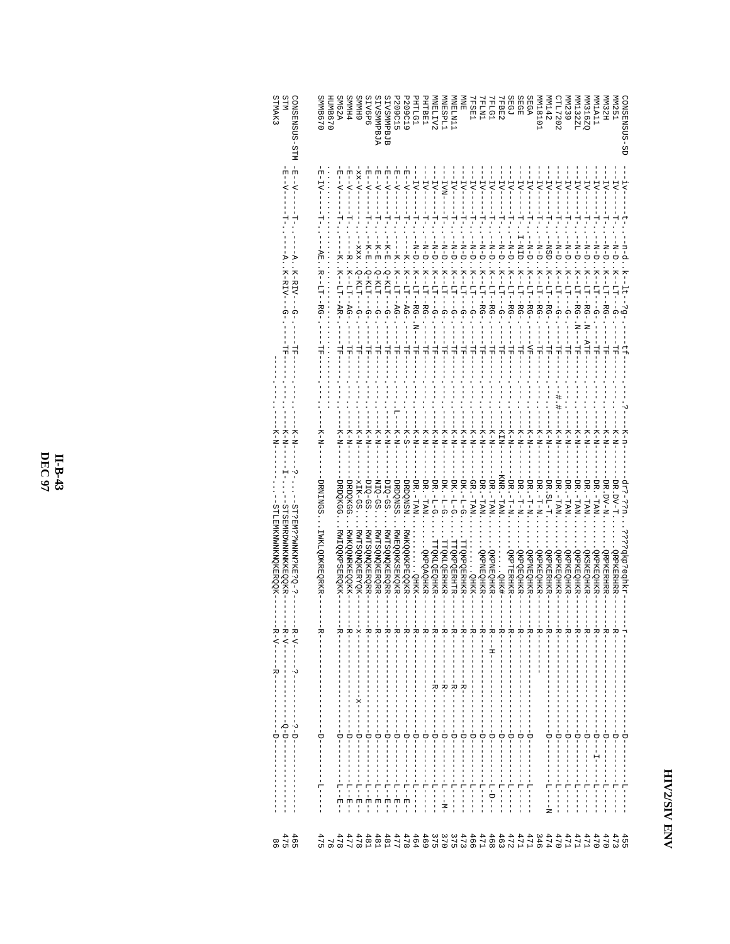| STMAK3<br>STM<br>-SQRSENSOS-<br><b>STIM</b>                                                       | 3MMS 670<br><b>UMB670</b> | <b>SM62A</b>            | <b>PHMMS</b>                                            | 6 HMMS                 | 349AIS                                                   | <b>AUSMMPBJA</b>                       | <b>EVSMMPBJB</b>                                 | 209C15                   | 209C19                               | <b>IDTILE</b>                                  | TEBEL                                         | <b>MELIVZ</b>                                                  | <b>MESPLI</b>                                                | <b>INFLN111</b>  | 晑                            | <b>FESEL</b>                                       | <b>INTHZ</b>                           | <b>TETGT</b>                                    | <b>FBE2</b>                      | ĔĞ                                                   | <b>HOGE</b>                          | ECA                                                        | L0181M                                           | M142                                     | <b>1717202</b>             | MN239                                   | LZZZ ETM                                | M316ZQ                                  | <b>ILAIM</b>                                           | <b>MN32H</b>                       | LSZMW                                                  | <b>ONSENS</b> |
|---------------------------------------------------------------------------------------------------|---------------------------|-------------------------|---------------------------------------------------------|------------------------|----------------------------------------------------------|----------------------------------------|--------------------------------------------------|--------------------------|--------------------------------------|------------------------------------------------|-----------------------------------------------|----------------------------------------------------------------|--------------------------------------------------------------|------------------|------------------------------|----------------------------------------------------|----------------------------------------|-------------------------------------------------|----------------------------------|------------------------------------------------------|--------------------------------------|------------------------------------------------------------|--------------------------------------------------|------------------------------------------|----------------------------|-----------------------------------------|-----------------------------------------|-----------------------------------------|--------------------------------------------------------|------------------------------------|--------------------------------------------------------|---------------|
| $-1$ $-1$ $-1$ $-1$<br>$-1$ – $-1$<br>-A · K-RHZ---<br>Þ<br>K-RIV-<br>ဂှ<br>붜                     | E-IV-                     | 田 ームー<br>- K K - - LT-  | 田 ームー<br>÷<br>--к.<br>.<br>$X - 1$<br>$Y - 1$<br>$-9G-$ | $-xx - V$<br>-xxxQ-KLT | $E - -V -$<br>보<br>$X-X$ $X-X$<br>$\frac{1}{\mathsf{P}}$ | 田 ームーー<br>÷<br>$-K-H$ . $O-KLLL$<br>ှု | 田 ームー<br>÷<br>- K-E : . O- KLT-<br>$\frac{1}{2}$ | - トート                    | ロームー                                 | $-LV-$<br>-N-D.<br>. K - - L H - - R G - . N - | $-LA$<br>-N-D.<br>- X - - L1-1 - - AC-<br>HL- | $-LA-$<br>$-N-D$ .<br>$-5 - -1 - - - - - - -$<br>$\frac{1}{2}$ | $N_{\rm H}$ –<br>-N-D.<br>$-5 - -17 - -0$                    | $-LV-$<br>-N-D.  | $-LV-$<br>$-K-D$ .<br>」<br>보 | $-LV-$<br>$- N - D$ .<br>$-5$ - $-1$ - $-1$ - $-6$ | $-LA$ -<br>$-K-D$ .<br>-RG-1-H-RG-     | $-LA-$<br>$-K-D$ .<br>-BG---H-RG-               | $-LV-$<br>$-N-D$ .               | $-L\Lambda$ -<br>$-{\rm N}-{\rm D}$ .<br>-RG--FL-RG- | $-LV$<br>-NID.<br>$LT - T$<br>-- RG- | $-LA-$<br>$-K-D$ .<br>$K - T T$<br>-<br>RG-<br>$-\nabla$ H | $-L\Lambda$ -<br>$-5$<br>- K – - LT<br>-RG-<br>岀 | $-LV$<br>$-NSD$ .<br>$K=-LT$<br>i<br>RQ- | -N-<br>ー<br>N-D<br>$K-11T$ | $-LV$ -<br>$- N - D$<br>- K - - LT<br>녑 | - 1V-<br>$-N-D$<br>$K - -LTT$<br>」<br>니 | $-LV$<br>$-5$<br>$K - LT$<br><b>ATF</b> | $-LA-$<br>$\overline{N}$ – $\overline{N}$<br>$K = -LT$ | $-LV$ -<br>ー<br>ローロー<br>$K - -LTT$ | Ņ<br>-<br>コーロー                                         |               |
| $-K-N$ -<br>$K-N$ .<br>$K-N$<br>STSEMRDWNKNKKEQQKR<br>STPEM? NNKNYNKN? CHE?<br>STLEMKNWNKNQKERQQK | <b>DRNINGS</b>            | $X-X$<br><b>DRDQKGG</b> | $X-X$<br><b>DRDQKGG</b>                                 | $K-K$<br>$XIX - GS$    | $-K-K$<br>$DIO-GS$                                       | $-K-K$<br><b>NIQ-GS</b>                | - K-N-<br><b>DIQ-GS</b>                          | $-K-N$<br><b>DRDQNSS</b> | $-K-S$ .<br>DRDQNSN                  | $X-X$<br>DR.-TAN                               | - K-N-<br>DR.-TAN                             | $-K-H$<br>BR.<br>$-1 - G$                                      | $-K-K$<br>$DK. -L-G$                                         | -K-N-<br>DK.-L-G | $-K-N$ -<br>-bk.<br>$-1 - G$ | -K-N<br>ġ<br>-TAN                                  | $-K-K$<br>PК<br>-TAN                   | -K-N-<br>딣<br>-TAN                              | -KIN-<br>KINR<br>-TAN            | $K-N$<br>Ř<br>$\frac{1}{N}$                          | $K-K$<br>Ř<br>$\frac{1}{N}$          | $K-N$<br>ă<br>$N-L-$                                       | $X-X$<br>Š<br>$N-L-$                             | $K-N$<br>Ė<br>$L - TS$                   | $X-X$<br>Š<br>-TAN         | $N-N$<br>Ė<br>NVL-                      | $-K-N$<br>ġ<br>-TAN                     | $N-N$<br>ă<br>-TAN                      | $-K-K$<br>Ė<br>-TAN                                    | $K-N$<br>ġ<br>DV-N                 | $K-N$<br>Ř<br>$L-\Lambda$ <sup><math>\Box</math></sup> | $K-n$ .       |
| $R-V$ -<br>$R-V-$<br>$R-V$ --                                                                     | INKLQDKREQRKR             | RWIQQKPSERQKK           | RWKQQNRKEQQKK                                           | RWISONQKERYQK          | RWISQNQKERQRR                                            | RWTSQNQKERQRR                          | RWTSQNQKERQRR                                    | RWEQQKKSEKQKR            | RWKQQKKPEQQKR                        | QHKK                                           | - ОКРОАОНКР.                                  | TTQKLQEQHKR                                                    | TTQKLQBRHKR                                                  | TTQKPQERHTR      | TTQKPQERHKR                  | СНКК                                               | <b>OKPNEQHIKR</b>                      | ОКРИЕОНКР                                       | . QHK#                           | <b>OKPTERHIKR</b>                                    | ОКРОЕОНКК                            | <b>OKPNEQHKR</b>                                           | OKPKEQHKR                                        | <b>OKPKERHKR</b>                         | ОКРКЕОНКР                  | OKPKEQHKR                               | OKPKEQHKR                               | <b>OKSKEQHKR</b>                        | OKPKEQHKR                                              | ORPKERHER                          | ORPKERHER                                              | ?qkp?eqhkr    |
| $-Q - D -$<br>$-5 - D -$                                                                          |                           | Ť<br>÷                  | $-1 - 1 - 1$                                            | $\times$               |                                                          |                                        | ė                                                |                          | $-1 - \underline{\mathrm{H}} = -1 -$ | ť                                              | ė                                             | $\frac{1}{\sqrt{1}}$<br>$-1 - 1 - 1 - 1$                       | - - - -<br>- - - - -<br>- - - -<br>$-1$<br>$-L$ - $L$ - $-1$ | $-1$             | $\frac{1}{\sqrt{2}}$         | $-1$<br>$-\frac{1}{1}$                             | $-\frac{1}{\sqrt{2}}$<br>$\frac{1}{1}$ | $\frac{1}{\sqrt{}}$<br>$-1$ - $D$ - $-1$ - $-1$ | $-1 - 1 -$<br>$-1$ - $-1$ - $-1$ | $-\frac{1}{2}$                                       | $-1$ – $-1$                          |                                                            |                                                  | $\frac{1}{N} - 1 - 1 - \frac{1}{N}$      | 부                          | $- - - - - - -$                         | $-1$ - $-1$ - $-1$ - $-1$               |                                         | Ţ                                                      | $-\frac{1}{2}$                     |                                                        |               |
| 447<br>478<br>86                                                                                  |                           |                         |                                                         |                        |                                                          |                                        |                                                  |                          |                                      |                                                |                                               |                                                                |                                                              |                  |                              |                                                    |                                        |                                                 |                                  |                                                      |                                      |                                                            |                                                  |                                          |                            |                                         |                                         |                                         |                                                        |                                    |                                                        |               |

**DEC 97 II-B-43**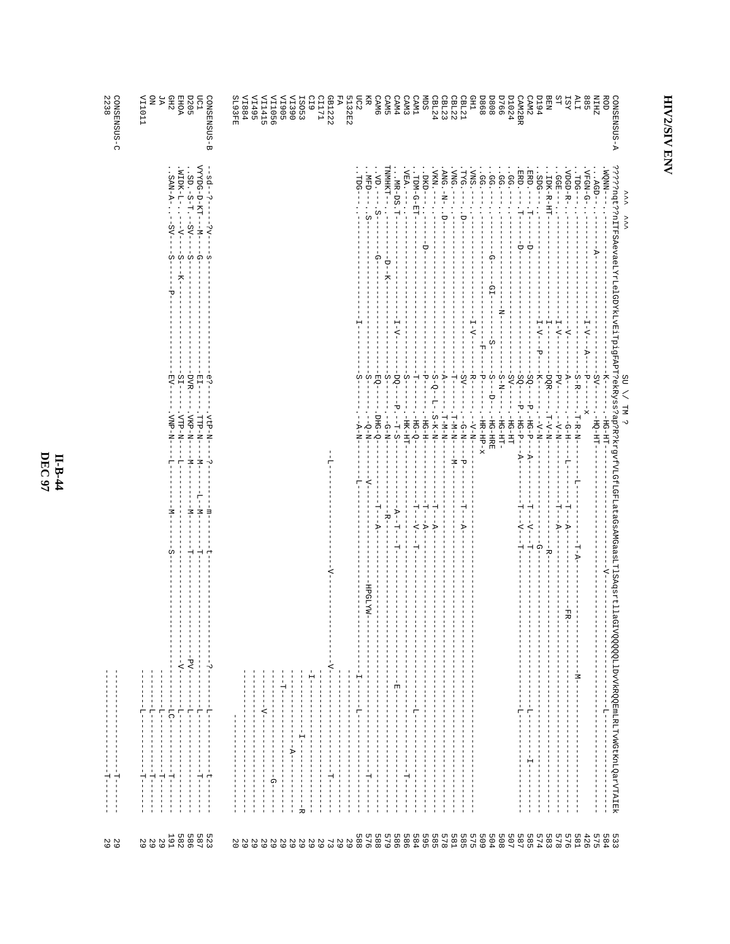### $\begin{array}{ll} {\rm D205} \\ {\rm EHODA} \\ {\rm OIN} \\ {\rm OIN} \\ {\rm V11011} \\ {\rm V11011} \end{array}$ FA<br>CODITA<br>CODISOD<br>VII05905<br>VII415<br>VII415  $\begin{array}{l} \texttt{BRX} \\ \texttt{GMS} \\ \texttt{GMS} \\ \texttt{GMS} \\ \texttt{GMS} \\ \texttt{GMS} \\ \texttt{GMS} \\ \texttt{GMS} \\ \texttt{GMS} \\ \texttt{GMS} \\ \texttt{GMS} \\ \texttt{GMS} \\ \texttt{GMS} \\ \texttt{GMS} \\ \texttt{GMS} \\ \texttt{GMS} \\ \texttt{GMS} \\ \texttt{GMS} \\ \texttt{GMS} \\ \texttt{GMS} \\ \texttt{GMS} \\ \texttt{GMS} \\ \texttt{GMS} \\ \texttt{GMS} \\ \texttt{GMS} \\ \texttt{GMS} \\ \texttt{G$ VI884<br>SL93FE **VI495** KR<br>UC2<br>5132E2 **ZHIN**  $\begin{array}{c} \texttt{CONSENESS-C} \\ \texttt{2238} \\ \texttt{2238} \end{array}$ LC1 881<br>And<br>Su Ř **ROD** GONSENSUS-B A-SUSMERNOS ?????nqt??nHTF8AevaelYrLA9lGDYKLvYiTpigFAPT?ekRyss?ap?R?KrJvFVLGFLAEaGsAMGaasLTlSAqsrLllaGIVQQQQLlDvVKRQQEmLRLTvWGtKnLQarVTAIEK  $NOMOM-1$  $\checkmark$  $\checkmark$  $-1 - 3$ <br>  $-1 - 3$ <br>  $-1 - 1$ ---SV--------HG-HT----- EV-------------an // mm is  $-1 - 1 -$ 8-------------- $- - - - - - - - - \frac{1}{2}$  $-1 - 1 \frac{1}{1}$  $\begin{array}{c}\n1 \\
1 \\
1\n\end{array}$ 8<br>8<br>9

DEC 97  $II-B-44$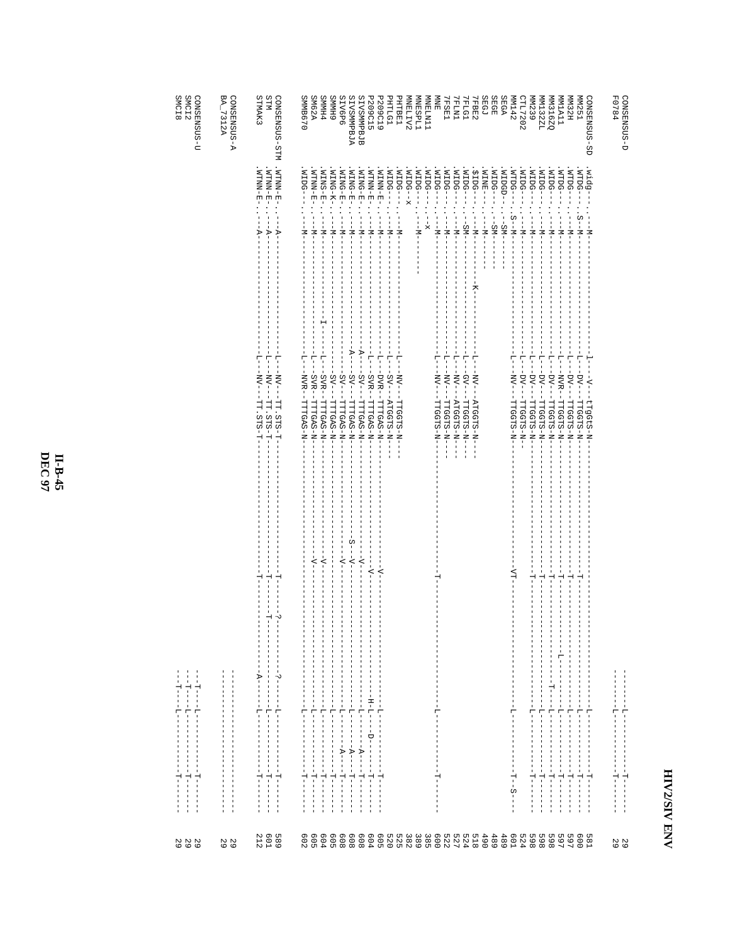| F0784<br>GONSENSUS-D           |                                                                                                                                                                                             |                                                                                                                                                                                                                                                                                                                                                                                                                                                                                                   | $\mathbf{I}$<br>л.<br>$\mathbf{I}$                                                                                 | $\mathbf{I}$<br>$\mathbf{I}$<br>$\mathbf{I}$<br>$\mathbf{I}$<br>$\mathbf{I}$<br>$\mathbf{I}$<br>$\blacksquare$<br>$\mathbf{I}$<br>$\blacksquare$<br>⊢<br>$\overline{\phantom{a}}$<br>$\mathbf I$<br>п<br>т<br>$\blacksquare$<br>å<br>$\mathbf{I}$<br>Ĥ<br>T<br>п<br>л.<br>л.<br>$\blacksquare$<br>л.<br>$\mathbf{I}$<br>п<br>$\overline{\phantom{a}}$ | 8<br>8<br>9<br>9                                                                                                                                             |
|--------------------------------|---------------------------------------------------------------------------------------------------------------------------------------------------------------------------------------------|---------------------------------------------------------------------------------------------------------------------------------------------------------------------------------------------------------------------------------------------------------------------------------------------------------------------------------------------------------------------------------------------------------------------------------------------------------------------------------------------------|--------------------------------------------------------------------------------------------------------------------|-------------------------------------------------------------------------------------------------------------------------------------------------------------------------------------------------------------------------------------------------------------------------------------------------------------------------------------------------------|--------------------------------------------------------------------------------------------------------------------------------------------------------------|
|                                |                                                                                                                                                                                             |                                                                                                                                                                                                                                                                                                                                                                                                                                                                                                   |                                                                                                                    |                                                                                                                                                                                                                                                                                                                                                       |                                                                                                                                                              |
| CONSENSUS-SD                   | $width--$<br>$-1 - M -$                                                                                                                                                                     |                                                                                                                                                                                                                                                                                                                                                                                                                                                                                                   | -1<br>-1                                                                                                           | Н<br>Ĥ<br>$\blacksquare$                                                                                                                                                                                                                                                                                                                              |                                                                                                                                                              |
| <b>MIN251</b>                  | <b>NTDG---------</b>                                                                                                                                                                        | L--N--TTGGTS-N----                                                                                                                                                                                                                                                                                                                                                                                                                                                                                | $\overline{1}$<br>$\mathbf{I}$<br>$\blacksquare$                                                                   | Н<br>$\mathbf{I}$<br>$\mathbf{I}$<br>$\mathbf{I}$<br>$\blacksquare$<br>H<br>$\mathbf{I}$<br>$\mathbf{I}$<br>$\overline{\phantom{a}}$<br>$\mathbf{I}$                                                                                                                                                                                                  |                                                                                                                                                              |
| HZ <sub>EM</sub>               | <b>MTDG-</b><br>$-1$ <sub>N</sub> $-$                                                                                                                                                       | ÷<br>$-10$<br>$\begin{minipage}{.4\linewidth} \label{eq:2} \begin{minipage}{.4\linewidth} \begin{tabular}{l} \multicolumn{3}{c}{\textbf{2.5}} \multicolumn{3}{c}{\textbf{2.5}} \multicolumn{3}{c}{\textbf{2.5}} \multicolumn{3}{c}{\textbf{2.5}} \multicolumn{3}{c}{\textbf{3.5}} \multicolumn{3}{c}{\textbf{4.5}} \end{tabular} \end{minipage} \end{minipage} \begin{minipage}{.4\linewidth} \begin{tabular}{l} \multicolumn{3}{c}{\textbf{2.5}} \multicolumn{3}{c}{\textbf{2.5}} \multicolumn{$ | 부<br>- 11<br>- 1                                                                                                   | $\overline{\phantom{a}}$<br>$\overline{1}$<br>$\blacksquare$<br>$\blacksquare$<br>$\mathbf{H}$<br>-1                                                                                                                                                                                                                                                  | שאשמאש באין האסטס אלא הסטס אין ססטס אין ססטס<br>מסטסטטס אסטטאן אין אין סטס אן אין אין אין אין ססטס<br>שרטטטט אין א סטסטאן אין אין סטטטאן אין סטס פון אין סטע |
| <b>MM1A11</b>                  | $NIDG---$<br>$-1 - N -$                                                                                                                                                                     |                                                                                                                                                                                                                                                                                                                                                                                                                                                                                                   | $\frac{1}{1}$<br>т.<br>п.<br>투                                                                                     | $\mathbf{I}$<br>$\mathbf{I}$<br>т.<br>Н<br>$\mathsf I$<br>$\mathbf{I}$<br>т.<br>н.<br>- 1<br>-11<br>п.<br>Å<br>т.<br>п<br>т.<br>п<br>1                                                                                                                                                                                                                |                                                                                                                                                              |
| MN316ZQ<br>MN322Z              | $MIDG--$<br>$\frac{1}{2}$<br>$-1 - N - 1$                                                                                                                                                   |                                                                                                                                                                                                                                                                                                                                                                                                                                                                                                   | J.<br>$\frac{1}{1}$<br>$\blacksquare$<br>$\mathbf{I}$                                                              | н<br>T<br>$\blacksquare$<br>Ţ<br>F<br>л.<br>$\mathbf{I}$<br>$\blacksquare$<br>-1<br>급<br>п<br>1<br>$\blacksquare$<br>п<br>$\mathbf{I}$                                                                                                                                                                                                                |                                                                                                                                                              |
|                                | $-MIDG---$<br>$- -M - -$                                                                                                                                                                    | $-\frac{1}{1}$<br>$--DV--TTGGTES-N-- \label{eq:2}$                                                                                                                                                                                                                                                                                                                                                                                                                                                | $\mathbf{I}$<br>$\frac{1}{1}$<br>$\mathbf{I}$<br>$\mathbf{I}$                                                      | $\mathbf{I}$<br>$\mathbf{I}$<br>$\overline{\phantom{a}}$<br>$\mathbf{I}$<br>부 부<br>$\mathbf{I}$<br>$\mathbf{I}$<br>$\mathbf{I}$<br>$\mathbf{I}$<br>$\mathbf{I}$                                                                                                                                                                                       |                                                                                                                                                              |
| <b>MN239</b>                   | MIDG------<br>$- -M - -$<br>$\frac{1}{1}$                                                                                                                                                   | $- - - \Gamma - - - - \Gamma T G G T S - N - -$                                                                                                                                                                                                                                                                                                                                                                                                                                                   | л.<br>$\frac{1}{1}$                                                                                                | л.<br>л.<br>⊢<br>л.<br>л.<br>л.<br>л.<br>п<br>1                                                                                                                                                                                                                                                                                                       |                                                                                                                                                              |
| CTL7202                        | $MIDG--$<br>$\frac{1}{1}$<br>ţ<br>$\blacksquare$<br>-1                                                                                                                                      | 투<br>٢<br>$--\nabla\nabla\nabla\nabla\nabla---\nabla\nabla G\nabla\nabla\nabla-\nabla\nabla---\nabla\nabla$                                                                                                                                                                                                                                                                                                                                                                                       |                                                                                                                    | ٣<br>Н                                                                                                                                                                                                                                                                                                                                                |                                                                                                                                                              |
| MIN142                         | $WTDG---S---S---POTTN$<br>ı<br>$\frac{1}{4}$<br>$\frac{1}{1}$<br>п                                                                                                                          |                                                                                                                                                                                                                                                                                                                                                                                                                                                                                                   | $-\Delta\Delta$ -                                                                                                  | $\mathbf{r}$<br>w<br>ŧ                                                                                                                                                                                                                                                                                                                                |                                                                                                                                                              |
| <b>SEGA</b>                    | $NIDGD----SN--$<br>$\frac{1}{1}$                                                                                                                                                            |                                                                                                                                                                                                                                                                                                                                                                                                                                                                                                   |                                                                                                                    |                                                                                                                                                                                                                                                                                                                                                       |                                                                                                                                                              |
| <b>SEGE</b>                    | WIDG-----SM--<br>$\begin{array}{c} \frac{1}{2} \\ \frac{1}{2} \\ \frac{1}{2} \end{array}$                                                                                                   |                                                                                                                                                                                                                                                                                                                                                                                                                                                                                                   |                                                                                                                    |                                                                                                                                                                                                                                                                                                                                                       |                                                                                                                                                              |
| <b>CEGT</b>                    | $MIMED - -N - - - - - -$<br>ţ<br>$\mathsf I$                                                                                                                                                |                                                                                                                                                                                                                                                                                                                                                                                                                                                                                                   |                                                                                                                    |                                                                                                                                                                                                                                                                                                                                                       |                                                                                                                                                              |
| <b>7FBE2</b>                   | <b>SIDG-------------</b><br>$\frac{1}{1}$<br>Ţ<br>$\mathbf{I}$<br>$-1$ $-1$                                                                                                                 | -- L- - - - NV- - - ATGGTS - N - - - - -                                                                                                                                                                                                                                                                                                                                                                                                                                                          |                                                                                                                    |                                                                                                                                                                                                                                                                                                                                                       |                                                                                                                                                              |
| <b>TELG1</b>                   | $WIDG---SN---SN---$<br>$\blacksquare$                                                                                                                                                       |                                                                                                                                                                                                                                                                                                                                                                                                                                                                                                   |                                                                                                                    |                                                                                                                                                                                                                                                                                                                                                       |                                                                                                                                                              |
| TNTHZ                          | -- M--------------<br>$\frac{1}{4}$<br>J                                                                                                                                                    | --1---NV---ATGGTS-N---                                                                                                                                                                                                                                                                                                                                                                                                                                                                            |                                                                                                                    |                                                                                                                                                                                                                                                                                                                                                       |                                                                                                                                                              |
| <b>TESEI</b>                   | $\frac{1}{1}$<br>ţ<br>$\frac{1}{4}$<br>п                                                                                                                                                    | $-M-$<br>$-12GCDS-N--$                                                                                                                                                                                                                                                                                                                                                                                                                                                                            | 년                                                                                                                  | ٣<br>å                                                                                                                                                                                                                                                                                                                                                |                                                                                                                                                              |
| <b>NRELN111</b><br><b>NATE</b> | $-MIDG--$<br>$NIDG---$ . $---X$<br>$-1$ . $-1$ - $-1$                                                                                                                                       | 부                                                                                                                                                                                                                                                                                                                                                                                                                                                                                                 |                                                                                                                    |                                                                                                                                                                                                                                                                                                                                                       |                                                                                                                                                              |
| <b>NDIESPLI</b>                | Ţ<br>$\mathbf{I}$                                                                                                                                                                           |                                                                                                                                                                                                                                                                                                                                                                                                                                                                                                   |                                                                                                                    |                                                                                                                                                                                                                                                                                                                                                       |                                                                                                                                                              |
| MNELIV2                        | $N = -50$                                                                                                                                                                                   |                                                                                                                                                                                                                                                                                                                                                                                                                                                                                                   |                                                                                                                    |                                                                                                                                                                                                                                                                                                                                                       |                                                                                                                                                              |
| <b>PHTBE1</b>                  | $NIDG---$<br>$- -M - -$<br>T<br>$\blacksquare$                                                                                                                                              |                                                                                                                                                                                                                                                                                                                                                                                                                                                                                                   |                                                                                                                    |                                                                                                                                                                                                                                                                                                                                                       |                                                                                                                                                              |
| P209C19<br><b>PHTLG1</b>       | $MIDG--$<br>$\frac{1}{2}$<br>$- -M - -$<br>$- -M - -$                                                                                                                                       | 후<br>$-S\Lambda- -A\texttt{TGGTS-N--}$<br>$\mathsf I$                                                                                                                                                                                                                                                                                                                                                                                                                                             | $-1 - 2 - 1$                                                                                                       |                                                                                                                                                                                                                                                                                                                                                       |                                                                                                                                                              |
| P209C15                        | $\texttt{WITNN}-\texttt{E}-$ .<br>$\mathbf{W}\mathbf{I}\mathbf{M}\mathbf{N} - \mathbf{E} - \mathbf{I} - \mathbf{I}$<br>$-1 - M -$<br>$\mathbf{I}$                                           | $-1$<br>$- S \nabla R - T T T G R S - N - \\$                                                                                                                                                                                                                                                                                                                                                                                                                                                     | $-1 - 2 - 1$                                                                                                       | $\frac{1}{1}$<br>٣<br>$\mathsf I$<br>I<br>1<br>p<br>J<br>$\mathbf{I}$<br>å<br>闩<br>$\mathbf{I}$<br>п<br>т<br>$\mathbf{I}$<br>п<br>п                                                                                                                                                                                                                   |                                                                                                                                                              |
| <b>SIVSMMPBJB</b>              | WING-E-<br>$- -M - -$                                                                                                                                                                       | $-4 - -$<br>$- - \mathbf{S} \mathbf{V} - - \mathbf{T} \mathbf{T} \mathbf{T} \mathbf{G} \mathbf{A} \mathbf{S} - \mathbf{N} - -$                                                                                                                                                                                                                                                                                                                                                                    | $- -\Lambda - -$<br>ш.<br>$\mathbf{I}$                                                                             | л.<br>$\mathbf{I}$<br>Ŷ<br>$\blacksquare$<br>$\mathbf{I}$<br>$\mathbf{I}$<br>п<br>$\mathbf{I}$<br>$\overline{A}$<br>$\frac{1}{14}$<br>Τ.<br>$\mathbf{I}$<br>$\mathbf{I}$<br>$\mathbf{I}$<br>T                                                                                                                                                         |                                                                                                                                                              |
| <b>ALBUMPBJA</b>               | $MIMG-E-.$<br>$- -M - -$                                                                                                                                                                    | $--A--$<br>$- - \mathbf{S} \mathbf{V} - - \mathbf{T} \mathbf{T} \mathbf{T} \mathbf{G} \mathbf{A} \mathbf{S} - \mathbf{N} - -$                                                                                                                                                                                                                                                                                                                                                                     | $S$ --V-<br>$\mathbf{I}$<br>- 1<br>$\blacksquare$                                                                  | $\mathbf{I}$<br>j.<br>٣<br>$\mathbf I$<br>$\overline{1}$<br>$\mathbf{I}$<br><b>I</b><br>$\overline{\phantom{a}}$<br>$-$ H $ -$<br>$\frac{1}{14}$<br>$\mathbf{I}$<br>$\mathbf{I}$<br>$\mathbf{I}$<br>$\overline{\phantom{a}}$                                                                                                                          |                                                                                                                                                              |
| <b>SIV6P6</b>                  | $\mathtt{MING-E--} \cdot -$<br>$- -M - -$<br>J.<br>$\mathbf{I}$<br>-1                                                                                                                       | $\frac{1}{2}$<br>$-SV--TTTGRS-N--\\$<br>-1                                                                                                                                                                                                                                                                                                                                                                                                                                                        | $- - \Lambda - -$<br>-1<br>$\mathbb{I}$<br>$\mathbf{I}$<br>-1<br>п.<br>п.<br>-11<br>п.                             | п.<br>$\mathbf{I}$<br>$\mathbf{I}$<br>п.<br>$\mathsf I$<br>$\mathbb T$<br>$\mathbf{I}$<br>п.<br>-1<br>$\mathbf{I}$<br>-1<br>-1<br>$\overline{A}$<br>-1<br>ш<br>$\mathbf{I}$<br>$\mathbf{I}$<br>$\mathbf{I}$<br>$\mathbf{I}$                                                                                                                           |                                                                                                                                                              |
| 6 HMMS                         | $MIMG-K-$<br>$- -M - -$<br>т.<br>п.<br>-1<br>$\mathbf{I}$<br>$\frac{1}{1}$                                                                                                                  | Ť<br>$- S V - - T T T G A S - N - -$<br>-                                                                                                                                                                                                                                                                                                                                                                                                                                                         | $\frac{1}{1}$<br>т.<br>$\mathbb T$<br>Τ.<br>л.<br>$\mathbf{I}$<br>л.<br>л.<br>$\mathbf{L}$                         | $\mathbf{I}$<br>$\mathbf{I}$<br>л.<br>л.<br>ビビ<br>Τ.<br>Τ.<br>L.<br>Ш.<br>$\mathbf{I}$<br>л.<br>- 11<br>Τ.<br>$\begin{array}{ccc} & + & + \\ & + & + \end{array}$<br>-<br>L.<br>L.<br>I.<br>I.                                                                                                                                                        |                                                                                                                                                              |
| <b>SMMR4</b>                   | $NIMSE-E-.$<br>$-1$ <sub>N</sub> $-$<br>$\frac{1}{1}$                                                                                                                                       | $\frac{1}{4}$<br>$SVR -$<br>$TTTGGAG = N - -$                                                                                                                                                                                                                                                                                                                                                                                                                                                     | $-4 - -$<br>- 1                                                                                                    | $\mathbf{I}$<br>$\blacksquare$<br>F<br>- 1<br>$\blacksquare$                                                                                                                                                                                                                                                                                          |                                                                                                                                                              |
| SM62A                          | $N T N N - E - $<br>$- -M - -$<br>$\mathbf{I}$                                                                                                                                              | 후<br>$SVR--TTTGGAS-N--\\$                                                                                                                                                                                                                                                                                                                                                                                                                                                                         | $-4 - 1 -$<br>$\frac{1}{1}$<br>$\mathbf{I}$<br>$\blacksquare$<br>$\mathbf{I}$<br>$\mathbf{I}$<br>$\blacksquare$    | $\blacksquare$<br>$\mathbf{I}$<br>$\mathbf{I}$<br>$\blacksquare$<br>Н<br>$\mathsf I$<br>$\mathbf{I}$<br>$\mathbf{I}$<br>$\mathbf{I}$<br>$\mathbf{I}$<br>$\mathbb T$<br>$\mathbf{I}$<br>$\blacksquare$<br>$\mathbf{I}$<br>$\mathbf{I}$                                                                                                                 |                                                                                                                                                              |
| <b>SMMB670</b>                 | $MIDG--$<br>$-1 - N - 1$<br>J.                                                                                                                                                              |                                                                                                                                                                                                                                                                                                                                                                                                                                                                                                   | J<br>÷<br>ш.<br>п.<br>н.<br>$\mathbf{I}$<br>$\mathbf{I}$                                                           | н.<br>п.<br>$\mathbf{I}$<br>$\mathbf{I}$<br>⊢<br>$\mathbf{I}$<br>$\mathbf{I}$<br>ш<br>$\mathbf{I}$<br>л.<br>$\mathbf{I}$<br>부부부<br>$\mathbf{I}$<br>$\mathbf{I}$<br>$\mathbf{I}$<br>л.                                                                                                                                                                 | 605<br>805                                                                                                                                                   |
| CONSENSUS-STM                  | $\begin{split} .&\text{WTNN-}\mathbf{E} - \text{.} \hspace{0.2cm}-- -\text{--}\text{A} - \\ .&\text{WTNN-}\mathbf{E} - \text{.} \hspace{0.2cm}-- -\text{--}\text{A} - \text{.} \end{split}$ |                                                                                                                                                                                                                                                                                                                                                                                                                                                                                                   | $\frac{1}{1}$<br>ŧ<br>$\frac{1}{1}$<br>. .<br>-1<br>- 1<br>. . ৩                                                   | $\mathbf{I}$<br>-1<br>-1<br>F<br>-1<br>Ĥ<br>$\mathbf{I}$<br>п<br>л<br>п<br>J.                                                                                                                                                                                                                                                                         |                                                                                                                                                              |
| STMAK3<br>STM                  | <b>KINN-E</b><br>$-4-$                                                                                                                                                                      | ٢<br>$-M -$<br>-HI-SIS-H                                                                                                                                                                                                                                                                                                                                                                                                                                                                          | $\frac{1}{1}$<br>$\frac{1}{1}$<br>$\mathbf{I}$<br>$\blacksquare$<br>$\mathbf{I}$<br>$\mathbf{I}$<br>$\blacksquare$ | $\mathbb{Y}$<br>$\mathbf{I}$<br>$\mathbf{I}$<br>п<br>$\mathbf{I}$<br>$\blacksquare$<br>п<br>$\mathbf{I}$<br>후<br>⊢<br>J.<br>$\blacksquare$<br>п<br>$\blacksquare$<br>$\mathbf{I}$<br>$\mathbf{I}$<br>$-1$<br>1<br>1<br>Ĥ<br>1<br>п<br>п<br>$\mathbf{I}$<br>$\mathbf{I}$<br>ш<br>$\mathsf I$                                                           | 5891<br>201<br>212                                                                                                                                           |
| BA_7312A<br>CONSENSUS-A        |                                                                                                                                                                                             |                                                                                                                                                                                                                                                                                                                                                                                                                                                                                                   | п                                                                                                                  | -1<br>$\mathbf{I}$<br>$\blacksquare$<br>-1<br>-1<br>-1<br>- 1<br>п<br>$\mathbf{I}$<br>-1<br>п<br>п<br>п                                                                                                                                                                                                                                               | 8<br>8<br>8                                                                                                                                                  |
|                                |                                                                                                                                                                                             |                                                                                                                                                                                                                                                                                                                                                                                                                                                                                                   |                                                                                                                    |                                                                                                                                                                                                                                                                                                                                                       |                                                                                                                                                              |
|                                |                                                                                                                                                                                             |                                                                                                                                                                                                                                                                                                                                                                                                                                                                                                   |                                                                                                                    | 부<br>$\mathsf I$                                                                                                                                                                                                                                                                                                                                      |                                                                                                                                                              |
| SMCI2<br>CONSENSUS-U           |                                                                                                                                                                                             |                                                                                                                                                                                                                                                                                                                                                                                                                                                                                                   | $\blacksquare$                                                                                                     | $\frac{1}{1}$<br>-1<br>t<br>п<br>$\mathbb{H}$<br>Н<br>$\mathsf I$<br>$\mathbf{I}$<br>$\mathbf{I}$<br>$\blacksquare$<br>п<br>부<br>п<br>н<br>$\mathbf{I}$<br>п<br>$\blacksquare$<br>$\mathbf{I}$<br>$\overline{\phantom{a}}$<br>-1<br>$\mathbf{I}$<br>$\mathbf{I}$<br>$\mathbf{I}$                                                                      |                                                                                                                                                              |
| SICT8                          |                                                                                                                                                                                             |                                                                                                                                                                                                                                                                                                                                                                                                                                                                                                   |                                                                                                                    | 년<br>Н<br>Ĥ                                                                                                                                                                                                                                                                                                                                           |                                                                                                                                                              |
|                                |                                                                                                                                                                                             |                                                                                                                                                                                                                                                                                                                                                                                                                                                                                                   |                                                                                                                    |                                                                                                                                                                                                                                                                                                                                                       |                                                                                                                                                              |
|                                |                                                                                                                                                                                             |                                                                                                                                                                                                                                                                                                                                                                                                                                                                                                   |                                                                                                                    |                                                                                                                                                                                                                                                                                                                                                       |                                                                                                                                                              |
|                                |                                                                                                                                                                                             |                                                                                                                                                                                                                                                                                                                                                                                                                                                                                                   |                                                                                                                    |                                                                                                                                                                                                                                                                                                                                                       |                                                                                                                                                              |
|                                |                                                                                                                                                                                             |                                                                                                                                                                                                                                                                                                                                                                                                                                                                                                   |                                                                                                                    |                                                                                                                                                                                                                                                                                                                                                       |                                                                                                                                                              |
|                                |                                                                                                                                                                                             |                                                                                                                                                                                                                                                                                                                                                                                                                                                                                                   |                                                                                                                    |                                                                                                                                                                                                                                                                                                                                                       |                                                                                                                                                              |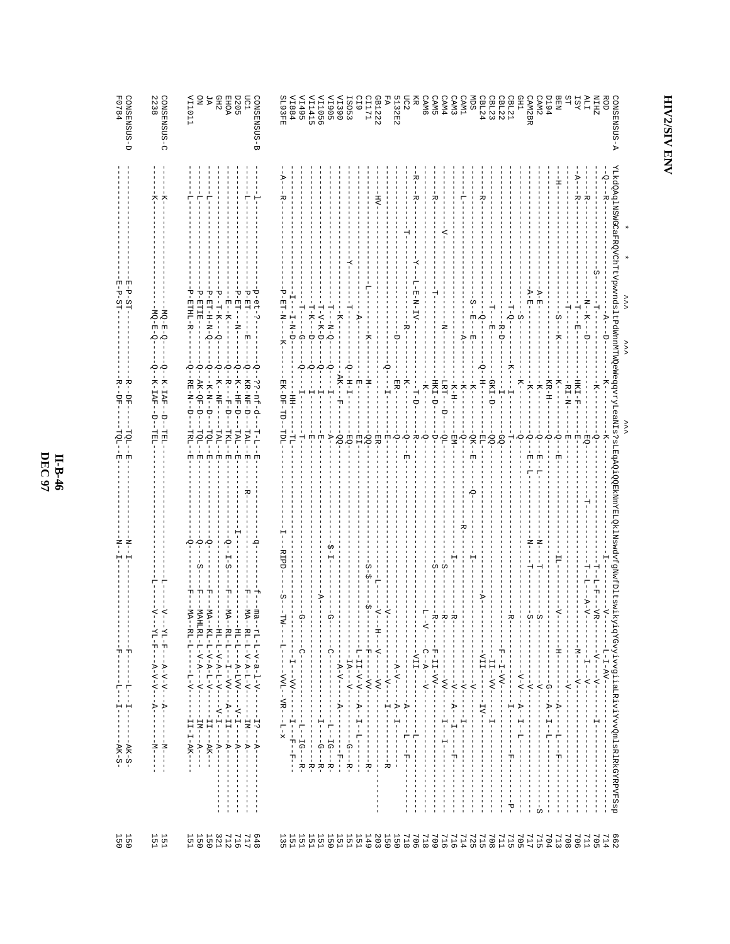### II-B-46<br>DEC 97

| G-SQSEMSD2-D<br>F0784                                                                                                                                                        | CONSENSUS-C<br>2238                                                                                                                                                                                                                                   | g<br>$\Delta\mathbf{A}$<br>CH <sub>5</sub><br><b>EHOA</b><br><b>D205</b><br>LC1<br>GONSENSUS-B<br>LIOIIA                                                                                                                                                                                                                                                                                                                                                                                                                                                                                                 | <b>SL93FE</b><br><b>VI884</b><br><b>S67IA</b><br>VI1415                                                                                                                                                                                                                                           | 950TIA<br><b>VI390</b><br><b>GO6IA</b><br>ESO53                                                                                                                                                                                                                                    | 5132EZ<br>CI171<br>GB1222<br>ΞS                                                                                                                                                                                                                                                         | LC <sub>2</sub><br><b>CAM6</b><br>Ř<br>CAM5<br>CAM4                                                                                                                                                                                                                                                       | CAM2BR<br>CH <sub>1</sub><br><b>CMAC</b><br>CBL24<br>CBL21<br>₿<br>CEL23<br>CBL22<br><b>LMA:</b>                                                                                                                                                                                                                                                                                                                                                                                                                                                                                    | SΤ<br><b>BEN</b><br>LLA<br><b>ZHIN</b><br>GONSENSUS-A<br>CAM <sub>2</sub><br><b>P6Td</b><br><b>IST</b><br>ROD                                                                                                                                                                                                                                                                                                                                                                                                                                                                                                                                                                                                                                                                                            |
|------------------------------------------------------------------------------------------------------------------------------------------------------------------------------|-------------------------------------------------------------------------------------------------------------------------------------------------------------------------------------------------------------------------------------------------------|----------------------------------------------------------------------------------------------------------------------------------------------------------------------------------------------------------------------------------------------------------------------------------------------------------------------------------------------------------------------------------------------------------------------------------------------------------------------------------------------------------------------------------------------------------------------------------------------------------|---------------------------------------------------------------------------------------------------------------------------------------------------------------------------------------------------------------------------------------------------------------------------------------------------|------------------------------------------------------------------------------------------------------------------------------------------------------------------------------------------------------------------------------------------------------------------------------------|-----------------------------------------------------------------------------------------------------------------------------------------------------------------------------------------------------------------------------------------------------------------------------------------|-----------------------------------------------------------------------------------------------------------------------------------------------------------------------------------------------------------------------------------------------------------------------------------------------------------|-------------------------------------------------------------------------------------------------------------------------------------------------------------------------------------------------------------------------------------------------------------------------------------------------------------------------------------------------------------------------------------------------------------------------------------------------------------------------------------------------------------------------------------------------------------------------------------|----------------------------------------------------------------------------------------------------------------------------------------------------------------------------------------------------------------------------------------------------------------------------------------------------------------------------------------------------------------------------------------------------------------------------------------------------------------------------------------------------------------------------------------------------------------------------------------------------------------------------------------------------------------------------------------------------------------------------------------------------------------------------------------------------------|
|                                                                                                                                                                              | ╬<br>×                                                                                                                                                                                                                                                | ÷<br>٣                                                                                                                                                                                                                                                                                                                                                                                                                                                                                                                                                                                                   | $\overline{r}$<br>ৼ                                                                                                                                                                                                                                                                               |                                                                                                                                                                                                                                                                                    | H                                                                                                                                                                                                                                                                                       | 진<br>능<br>ᄷ<br>⊣                                                                                                                                                                                                                                                                                          | ᆽ                                                                                                                                                                                                                                                                                                                                                                                                                                                                                                                                                                                   | о – – к- –<br>$\overline{A}$<br>$\frac{1}{1}$<br>눉<br>⊣<br>F                                                                                                                                                                                                                                                                                                                                                                                                                                                                                                                                                                                                                                                                                                                                             |
| 囝<br>卫<br>۳I<br>Ġ<br>ST.                                                                                                                                                     | $-MQ-E-$<br>$Q - E - G$<br>O                                                                                                                                                                                                                          | P-E-H---<br>P-RHHL-R-<br>P-EHHF-<br>$D - E - E - E - E - E$<br><b>ロー・コースーー</b><br>넌<br>p-et-?<br>-<br>11<br>ロースー<br>$-1$<br>Ю<br>団                                                                                                                                                                                                                                                                                                                                                                                                                                                                       | P-ET-N---<br>- コースーー<br>۲<br>ا<br>부<br>Ż<br>ė<br>$\frac{1}{\Omega}$<br>$\overline{X}$<br>U                                                                                                                                                                                                        | コースースーロ<br>ーー<br>부<br>처<br>−¤−                                                                                                                                                                                                                                                     | ⊅                                                                                                                                                                                                                                                                                       | $-1 - 1 - 1 - 1 - 1 - 1$<br>부<br>ż<br>۳                                                                                                                                                                                                                                                                   | $A - E$<br>$-5 - 5$<br>.<br>면<br>-ò-<br>C<br>団                                                                                                                                                                                                                                                                                                                                                                                                                                                                                                                                      | U.<br>$\mathbb{Y}$<br>国<br>$X - K -$<br>Ĥ<br>년<br>-- 1<br>-- 1<br>$- - \nabla$<br>C<br>변<br>∪                                                                                                                                                                                                                                                                                                                                                                                                                                                                                                                                                                                                                                                                                                            |
| ۳ı<br>占<br>÷<br>F                                                                                                                                                            | $Q = -K - I R + -D -$<br>p<br>K-IAF--D-                                                                                                                                                                                                               | Ю<br>O<br>Ю<br>Ю<br>Ю<br>Ю<br>Ю<br>Ю<br>- K - - N H - -<br>- アーー F-ロー<br>- K - - H H - U<br>-RE-N--D-<br>-<br>NH-NH-D<br>AK-QF-D-<br>$-K-K-K$<br>p-raf-d                                                                                                                                                                                                                                                                                                                                                                                                                                                 | Ю<br>Ю<br><b>EK-DF-HD-</b><br>ė                                                                                                                                                                                                                                                                   | Ю<br>Ю<br>$-1 - H - I -$<br>$AK--$<br>먹                                                                                                                                                                                                                                            | Ó,<br>$\overline{\mathbb{X}}$<br>団<br>$-1 -$<br>ER-                                                                                                                                                                                                                                     | -HKI-D-<br>.<br>א-<br><b>LRT---</b><br>ーズー<br>トリーワー<br>Ų                                                                                                                                                                                                                                                  | $-1 - H - 5$<br>Κ-<br>$-QK1$<br>-<br>-<br>-<br>-<br>$-K-H$<br>−k<br>∵<br>$-5$<br>k<br>F<br>$-1-$<br>H                                                                                                                                                                                                                                                                                                                                                                                                                                                                               | -RR-H-<br>ネー<br>HK1-F<br>$-5$<br>-R1-N-<br>*                                                                                                                                                                                                                                                                                                                                                                                                                                                                                                                                                                                                                                                                                                                                                             |
| LQL<br>TQL-<br>団<br>固<br>z<br>Ť<br>Ť<br>$\frac{1}{4}$<br>- 1<br>- 1<br>J<br>$-1$ – $-1$<br>$-1 - 1 - -1 - 1 -$<br>Ĥ<br>J<br>J<br>$\frac{1}{1}$<br>1<br>$---AR-5$<br>$-AK-S-$ | THT.<br>EEL<br>⊢<br>$-\mathbf{X}\mathbf{L}-\mathbf{F}=-\mathbf{A}-\mathbf{V}-\mathbf{V}=-\mathbf{A}-\mathbf{A}-\mathbf{A}$<br>$-XL - F - -N - V - V - -A -$<br>$\mathsf I$<br>I<br>$\mathbf{I}$<br>$\blacksquare$<br>Ť.<br>$- -M - - -$<br>$-1 - M -$ | $-101-$<br>TKL-<br>$TAT$ --E<br>TRL.<br>$-70L$<br>TAI<br>L-1<br>$TAT--E$<br>,<br>因<br>,<br>因<br>団<br>固<br>固<br>団<br>ᆽ<br>Ю<br>ò<br>ю<br>ę<br>٢<br>ÜΩ<br>C<br>면<br>면<br>견<br>피<br>먹<br>$-MA -$<br>$-MA -$<br>$-MA -$<br>$-MA$<br>$=$ ug<br>$-KL-L-V-R-L-V-$<br>- HI-1-1-1-V-A-I-1-V-H-I-V-H-<br>$-RL-L-V-R-L-V-- \label{eq:R1}$<br>$-xL-x-c-c-1-x-1$<br>$\frac{1}{1}$<br>--1?------<br>$- -1M - - -A - -$<br>-- II--- AK-<br>I<br>I<br>$\frac{1}{1}$<br>ł<br>T<br>$\overline{\phantom{a}}$<br>I<br>$\frac{1}{1}$<br>ł<br>$\frac{1}{1}$<br>$\frac{1}{1}$<br>í<br>$\frac{1}{1}$<br>$\overline{\phantom{a}}$ | TOT<br>÷<br>녑<br>부<br>-RIPD-<br>က်<br>HÄ.<br>Ω<br>$-1$ - $C$<br>$\frac{1}{1}$<br>$\texttt{I}\,{-}\,\texttt{V}\texttt{V}\,{-}\,{-}\,\texttt{I}$<br>$\begin{bmatrix} 1 \\ 1 \\ 1 \\ 1 \end{bmatrix}$<br>H<br>$\overline{\phantom{a}}$<br>$-1 - 1 - -1G - - -R -$<br>I<br>Í<br>I<br>ı<br>$-1 - 15 -$ | -BQ<br>ģ<br>団<br>Þ<br>Ω.<br>כל<br>⋒<br>$\overline{O}$<br>1<br>т<br>- - エ <b>ス</b> ーーーV-----<br>$\frac{1}{1}$<br>$- - -N - - -$<br>I<br>J<br>I<br>--A----<br>$-1 - - - - - - - - - -$<br>$\frac{1}{1}$<br>$\frac{1}{1}$<br>т<br>$\frac{1}{1}$<br>$IG--R-$<br>т<br>-d---R-<br>-- 4-1 | 녑<br>$-00$<br>- ER<br>ņ<br>Ю<br>C)<br>Ω.<br>ې<br>۱<br>-4<br>$\overline{z}$<br>-H------<br>- H - - - - - - - - H -<br>$- - \overline{A} - \overline{V} - - - - - \overline{A} - -$<br>$- -\Lambda \Lambda - -$<br>$\frac{1}{1}$<br>$-1$<br>J<br>I<br>$- - -$<br>$\overline{\phantom{a}}$ | Ю<br>겨<br>Ю<br>ГÕ<br>団<br>U.<br>۲<br>ا<br>R-<br>نج<br>ا<br>I<br>$-L-TI - \Delta \Delta - -$<br>---------<br>$---\Delta\Delta$ --<br>$\frac{1}{1}$<br>- - M - - - - - - - - - - - - - - - -<br>$\frac{1}{1}$<br>I<br>İ<br>I<br>I<br>ł<br>I<br>$\frac{1}{1}$<br>I<br>I<br>$\frac{1}{1}$<br>ł<br>ł<br>1<br>I | -EM-<br>$-5K -$<br>Ė<br>င္က်<br>8<br>Q<br>Ю<br>Ю<br>Ħ<br>변<br>쥐<br>₩<br>ᆽ<br>w<br>ı<br>п<br>$\frac{1}{1}$<br>$- - - - - - - - - -$<br>$\frac{1}{1}$<br>ļ<br>$-1$ - $\Delta$ - -<br>$-1 - 1 -$<br>$-1$<br>I<br>--------<br>$\frac{1}{1}$<br>I<br>ı<br>J<br>I<br>J<br>I<br>I<br>$\frac{1}{1}$<br>1<br>ı<br>۳Ţ<br>т<br>ı<br>$\frac{1}{1}$<br>í<br>ı<br>$\frac{1}{1}$<br>$\begin{array}{c} 1 \\ 1 \\ 1 \end{array}$<br>ı<br>$\begin{array}{c} \rule{0.2cm}{0.15mm} \end{array}$<br>I<br>I<br>$\frac{1}{1}$<br>$\frac{1}{1}$<br>$\frac{1}{1}$<br>ı<br>ł<br>ì<br>$\frac{1}{\sqrt{}}$<br>I | XLkdQAq1N3WGdaFRQYChTtVpwvndsltPdWnnMTWGeWeqqvryLeaNIs?sLEqAQ1QQEkNmYELQklNswdvfgNwfDltswikyiqYGvyivvgiiaLRiviYvvQmlsRC8YFRVFSsp<br>ăб<br>団<br>ဂု<br>団<br>Ю<br>Ю<br>Ю<br>년<br>1<br>団<br>$\frac{1}{1}$<br>Ę<br>ř<br>$-11-$<br>ᅻ<br>루<br>부<br>t<br>퍽<br>$A-V-$<br>$-KF$<br>Ş<br>w<br>$-1 - \underline{\Gamma} - \underline{\Gamma} \underline{\Gamma} - \underline{\Gamma} - \underline{\Gamma} - \underline{\Gamma}$<br>-----------<br>$\frac{1}{1}$<br>-- - - - - - - - - -<br>Ţ<br>$-1$ - $-1$ - $-1$<br>Ť<br>ł<br>I<br>I<br>$-1 - \Delta -$<br>$\frac{1}{1}$<br>$-1$ - $\Lambda$ - $-$<br>$\frac{1}{1}$<br>- - アー・ロー<br>$- - - - -$<br>I<br>I<br>ł<br>I<br>ı<br>I<br>ш<br>I<br>$\frac{1}{1}$<br>I<br>I<br>I<br>I<br>I<br>п<br>I<br>т<br>I<br>I<br>п<br>ł<br>п<br>п<br>I<br>ł<br>í<br>$\mathbf{I}$<br>S |
| <b>150</b><br>150                                                                                                                                                            | <b>151</b><br><b>IS1</b>                                                                                                                                                                                                                              | <b>150</b><br>321<br>715<br>848<br>IS1<br><b>150</b><br>717                                                                                                                                                                                                                                                                                                                                                                                                                                                                                                                                              | <b>151</b><br><b>LS1</b><br>135<br>T <sub>5</sub> T                                                                                                                                                                                                                                               | <b>ISI</b><br>T <sub>5</sub> 1<br>150<br>ISI                                                                                                                                                                                                                                       | ISI<br><b>149</b><br>203<br><b>150</b><br>150                                                                                                                                                                                                                                           | 917<br>$718$<br>706<br>907<br>716                                                                                                                                                                                                                                                                         | 716<br>714<br>725<br>708<br>715<br><b>IIL</b><br>715<br>705<br>717                                                                                                                                                                                                                                                                                                                                                                                                                                                                                                                  | 715<br>704<br>713<br>708<br>706<br><b>TIL</b><br>705<br>714<br>662                                                                                                                                                                                                                                                                                                                                                                                                                                                                                                                                                                                                                                                                                                                                       |

# HIV2/SIV ENV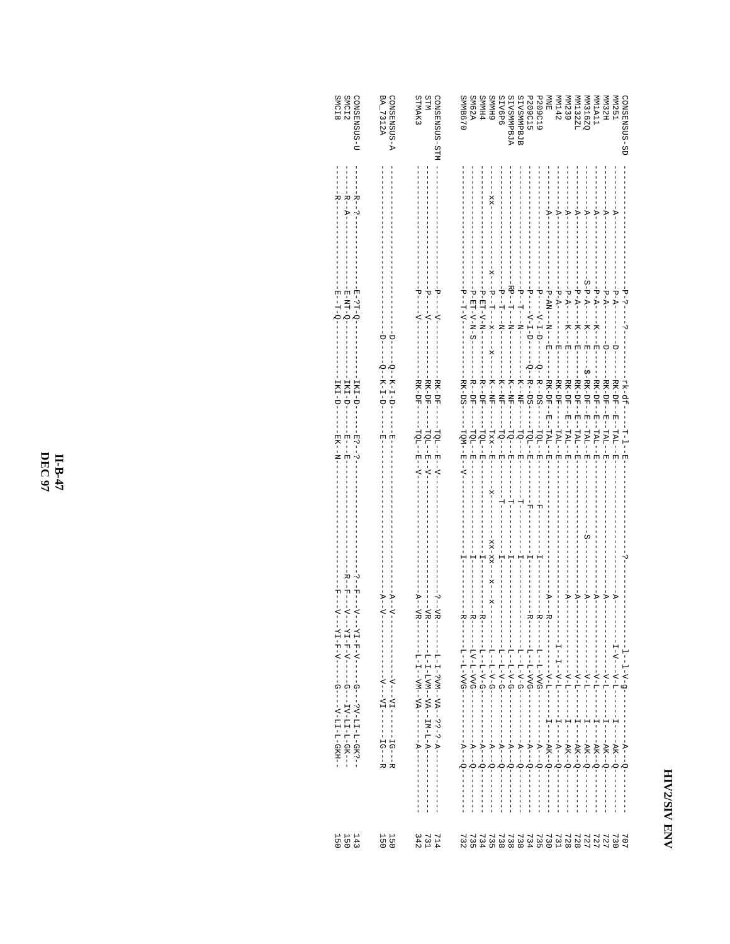| SMCI22<br>SMCI3<br>CONSENSUS-U                        | BA_7312A<br>GONSENSUS-A                                           | STMAK3<br><b>STM</b><br>NTS-SUSNESNOS                                        | SMMB670<br><b>SM62A</b><br><b>SMMH4</b>                               | STV6P6<br>SMMH9                            | <b>ALARMASVIS</b><br><b>SIVSMMPBJB</b>                           | P209C15                                        | P209C19<br>喜                     |                                                              | MM1325L<br>MM239<br>MM142                                                                                                                                                                 |                                                                                                 | <b>MN316ZQ</b>         | TIYIWW                              | MN32H                                              | L <sub>5</sub> ZMW            | CONSENSUS-SL             |
|-------------------------------------------------------|-------------------------------------------------------------------|------------------------------------------------------------------------------|-----------------------------------------------------------------------|--------------------------------------------|------------------------------------------------------------------|------------------------------------------------|----------------------------------|--------------------------------------------------------------|-------------------------------------------------------------------------------------------------------------------------------------------------------------------------------------------|-------------------------------------------------------------------------------------------------|------------------------|-------------------------------------|----------------------------------------------------|-------------------------------|--------------------------|
| ---R--?--<br>---R---<br>÷<br>ب                        |                                                                   |                                                                              | $-2XX - -$                                                            |                                            |                                                                  |                                                | - A--                            | $\cdot$ – A – –                                              | $-4-7-$                                                                                                                                                                                   | $-$ A $-$                                                                                       | $-4-$                  | $-4$                                | $-4-$                                              | ÷<br>∽                        |                          |
| $0 - 1 - 5 -$                                         | $\frac{1}{\sqrt{2}}$<br>$\frac{1}{\sqrt{1}}$                      | $-1 - 1 - -1 - -1 - -1$                                                      | $-1 - 1 - 1 - 1 -$<br>$-5 - 7 - 7 - 7 - 8$                            |                                            |                                                                  | $-1$<br>$-1$<br>$-1$<br>$-1$<br>$-1$<br>$-1$   |                                  | - - P - A - - - - - - - - E -<br>- - P - A - - - - - - - E - |                                                                                                                                                                                           | - S - P - A - - - - K - - - E -<br>- - - - - - - - K - - - E - -<br>- - - - - - - - - - - E - - |                        | $- - - - - - - - - - - - - - - - -$ | $-\mathbf{P}-\mathbf{A}----------\mathbf{D}-\cdot$ | - P - A - - - - - - - - D - - | $-1 - 3 - 1 - 2 - 1 - 1$ |
| $-LKI-D-$<br>$-1$ HXH $-1$<br>IKI-D-                  | $-0$ - $-1$ - $-1$ - $-1$<br>$- - -1 - 2 - 1 - -1 - -1 -$         | -<br>PR-DF-<br>-RK-DF-<br>-RK-DF                                             | $-BK-DS--$                                                            |                                            |                                                                  |                                                | --<br>BK-DE--E-LAL--E-           | $- B K - D F - - - - L F - - F$                              | $\begin{split} \dot{\xi} &= P K - DF - - E - - TA \Delta - - E \cdot \\ &- - R K - DF - E - E - T A \Delta - - E \cdot \\ &- - R K - DF - E - E - T - T A \Delta - - E \cdot \end{split}$ |                                                                                                 |                        |                                     |                                                    |                               |                          |
| --こと --こと<br>$-\mathbf{E}$ $ -\mathbf{E}$ $-$<br>$-N$ | $\begin{array}{c} -1\\ -1\\ 1\\ 1\\ \end{array}$<br>$\frac{1}{2}$ | $-10L$<br>$-TQL -E -E -V --$<br>$-{\bf TQL} - {\bf E} - {\bf F} - {\bf V} -$ | $-101 - 10 - 1$<br>$-1$ -HON- $-1$ --<br>$-LQL--E$                    | $\frac{1}{2}$                              |                                                                  |                                                | $\frac{1}{1}$                    |                                                              |                                                                                                                                                                                           |                                                                                                 |                        |                                     |                                                    |                               |                          |
| $-B$ – $ -$ – $ -$ – $ -$                             |                                                                   |                                                                              |                                                                       | $-XX-XX - -X - -X - - - -X - -$            |                                                                  | $\frac{1}{1}$                                  | $\frac{1}{1}$                    |                                                              |                                                                                                                                                                                           |                                                                                                 |                        |                                     | $-4-1$                                             | $-4-$                         |                          |
| - ユーート                                                | $- - -N - - - -$<br>$-4$ - $-1$                                   | $-{\bf A} - {\bf V} {\bf R}$ –<br>$-5 - 15 - 1$<br>$---VR$ $-$               | $--------$<br>$- - -$                                                 |                                            |                                                                  | - - - - H<br>H + - H                           | $-$ A---R--                      |                                                              | - - A - - - - - -                                                                                                                                                                         |                                                                                                 |                        |                                     |                                                    |                               |                          |
|                                                       |                                                                   |                                                                              | $-LV-T-NVG$<br>$-1 - -1 - -1 - 0$<br>$-5M - 7 - M$                    | $-1 - 1 - -1 - \Delta - \Delta - \Delta -$ | $-1$ - $\Gamma$ - $\Gamma$ - $\Lambda$ - $G$<br>$-1 - 1 - 1 - 0$ | $- - \Gamma - - \Gamma - \Gamma \Gamma \Gamma$ | $    \!N$ $\! \!$ $\! \! \! \!-$ | $-1=-1=-\nabla-2-\nabla-1-$                                  | $- - - - - - - - - - - - -$                                                                                                                                                               | ------------                                                                                    | $- - - - - - -$        |                                     | $- - - - - - - - - - - - -$                        |                               |                          |
|                                                       |                                                                   |                                                                              | $-1$ - $-1$ - $-1$ - $-1$<br>$-5 - - - - - - -$<br>$-5 - - - - - - -$ | $---------------------$                    | ------A---Q-<br>$---A---Q---$                                    | $-5 - - - - - - -$                             | $- - - - - - - - - - -$          | $---1---A---A---Q---$                                        |                                                                                                                                                                                           | $-1 - 1 -$<br>$---AR - -C - -$                                                                  | $-1 - -1 - -1K - -6 -$ |                                     |                                                    |                               |                          |
| 14<br>15<br>15<br>0                                   | 150<br>150                                                        | 711<br>731<br>342                                                            |                                                                       |                                            |                                                                  |                                                |                                  |                                                              |                                                                                                                                                                                           |                                                                                                 |                        |                                     |                                                    |                               | 707                      |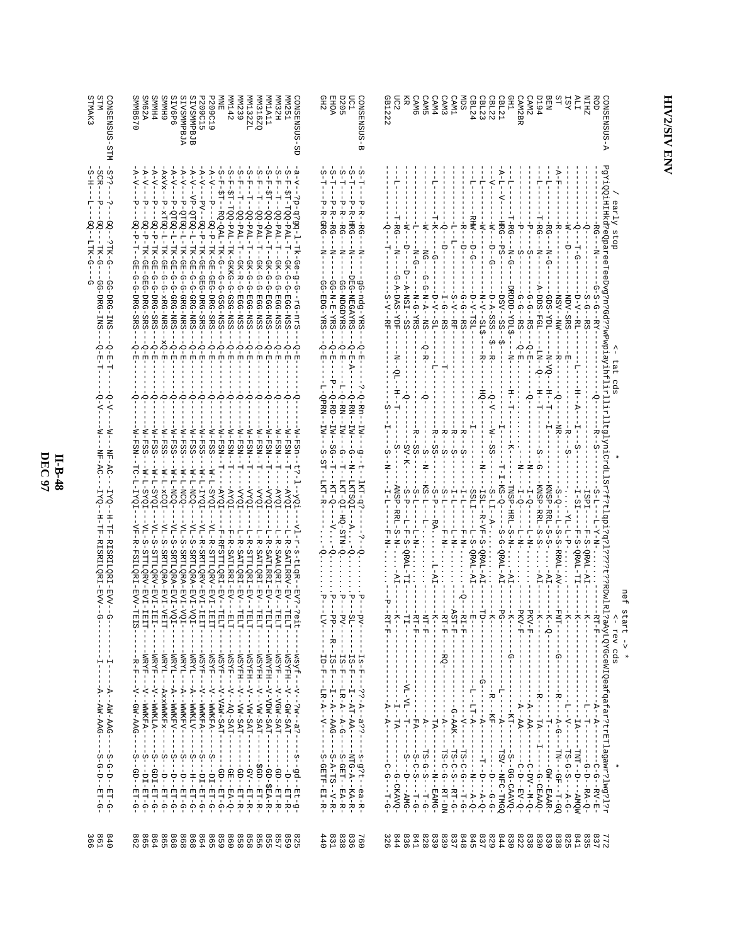| <b>STM</b><br>CONSENSUS<br>STMAK3<br>ή.<br>넓                                                                                                                                                                                                    | SM62A<br><b>SIV6P6</b><br><b>SIVSMMPBJB</b><br>P209C15<br>SMMB670<br><b>PHMMS</b><br>6 HMMS<br><b>ITAIMW</b><br><b>MM142</b><br>M239<br><b>M13227</b><br><b>MN316ZQ</b><br>自国<br>209C19<br>IVSMMPBJA                                                                                                                                                                                                                                                                                                                                                                                                                                                                                                                                                                                                                                                                                                                                                                                                                         | <b>MM251</b><br><b>GS-SOSNESNOC</b><br>CH <sub>2</sub><br><b>HZEMW</b>                                                                                                                                                             | <b>2205</b><br><b>EHOA</b><br>nc1<br>CONSENSUS<br>$\frac{1}{10}$                                                                                                                                                                                                                                                                                                                                                                                                                                                                                                                                 | <b>12L24</b><br>CBL22<br><b>194</b><br>ROD<br>CONSENSUS<br>3B1222<br>DC2<br>CAM6<br><b>CAM5</b><br><b>CAM4</b><br><b>CAM3</b><br><b>CAM1</b><br>ŠЩ<br>CBL23<br>CBL21<br>요<br>CAM2BR<br>CAM <sub>2</sub><br><b>BEN</b><br>ξ<br>ETW<br>ZHIN<br><b>TST</b><br>Ģ<br>J-                                                                                                                                                                                                                                                                                                                                                                                                                                                                                                                                                                                                                                                                                                                                                                                                                                                                                                                                                                                                                                                                                                                                                                                                                                                                                                                                                             |                                  |
|-------------------------------------------------------------------------------------------------------------------------------------------------------------------------------------------------------------------------------------------------|------------------------------------------------------------------------------------------------------------------------------------------------------------------------------------------------------------------------------------------------------------------------------------------------------------------------------------------------------------------------------------------------------------------------------------------------------------------------------------------------------------------------------------------------------------------------------------------------------------------------------------------------------------------------------------------------------------------------------------------------------------------------------------------------------------------------------------------------------------------------------------------------------------------------------------------------------------------------------------------------------------------------------|------------------------------------------------------------------------------------------------------------------------------------------------------------------------------------------------------------------------------------|--------------------------------------------------------------------------------------------------------------------------------------------------------------------------------------------------------------------------------------------------------------------------------------------------------------------------------------------------------------------------------------------------------------------------------------------------------------------------------------------------------------------------------------------------------------------------------------------------|--------------------------------------------------------------------------------------------------------------------------------------------------------------------------------------------------------------------------------------------------------------------------------------------------------------------------------------------------------------------------------------------------------------------------------------------------------------------------------------------------------------------------------------------------------------------------------------------------------------------------------------------------------------------------------------------------------------------------------------------------------------------------------------------------------------------------------------------------------------------------------------------------------------------------------------------------------------------------------------------------------------------------------------------------------------------------------------------------------------------------------------------------------------------------------------------------------------------------------------------------------------------------------------------------------------------------------------------------------------------------------------------------------------------------------------------------------------------------------------------------------------------------------------------------------------------------------------------------------------------------------|----------------------------------|
| $-53.5 -$<br>-SCR-<br>$-S-H-$<br>$\blacksquare$<br>÷<br>٠.<br>$-65-$<br>$-65-$<br>ġ<br>$5-XLc$<br>D-XLT<br>$-LK-G$<br>-GG-DRG-INS-<br>-GG-DRG-INS<br>ດ່<br>$Q-B$ .<br>$\sum_{i=1}^{\infty}$<br>н                                                | $- - - N - - -$<br>$-A-V-$<br>-A-V-VP-QTGQ-L-TK-GE-G-GRG-NRS<br>-A-V---PV--GB-GE-GEG-DRG-SRS<br>-AxVx-1-P-xTGQ-L-TK-GE-G-xRG-NRS<br>$-A-V-$<br>-S-F-\$T--RQ-QAL-TK-G--G-GSG-NSS<br>-A-V---P-QTGQ-L-TK-GE-G-GRG-NRS<br>$A-V---$<br>$-A-V-$<br>$S-F$<br>$S - F$<br>$S-\overline{F}$<br>ÖΩ<br>S-F-\$T-TQQ-PAL-TK-GKKG-G<br>- F-3-T-00-02-L-1-<br>T--00-PAL-T-<br>÷<br>÷<br>ن<br>ا<br>P-QTGQ-L-TK-GE-G-GRG-NRS<br>-GQ-P-TK-GE-G-G-B-RG-SRS<br>-GQ-P-TK-GE-GEG-DRG-SRS<br>-GO-P-H--GE-Q-D-G-D-ASES<br>-GQ-P-TK-GE-CEG-DRG-SRS<br>-GK-G-G-EGG-NSS<br>-GK-G-G<br>-GK-R-G<br>B-9-75<br>$-GSD - NSS -$<br>-EGG-NSS<br>-EGG-NSS<br>-EGG-NSS<br>$E - E$<br>$-9 - E$ .<br>$-9-E$<br>$-9 - E$<br>$-9-E$<br>$-9-E$<br>$\sum_{i=1}^{n}$<br>$Q - E$<br>$-9-E$<br>$\sum_{i=1}^{\infty}$<br>$\sum_{k=1}^{n}$<br>신<br>면<br>$-9-5$<br>$\sim$ -E<br>$\sum_{i=1}^{n}$                                                                                                                                                                              | ÜΩ<br>$S - T$<br>$S - F$<br>$a-v-$<br>- SH-HOO-PAL-H-<br>-?p-g?gq-l-Tk-Ge-<br>P-R-GRG-<br>$QQ-PAL-I-T-$<br>-GK-G-G<br>GK-G-G<br>$g - g - -r - g - s$<br>GG-EDG-YRS<br>-EGG-NSS<br>-EGG-NSS<br>。<br>더<br>心<br>日<br>ю<br>Е<br>ん<br>日 | $-5 - 7 - 7 - 7$<br>$-S-T$ -<br>$-S-T-$<br>$P - R -$<br>P-R-HRG-<br>卫<br>P-R--RG<br>$-BG-$<br>$-BG-$<br>$\frac{1}{4}$<br>$-{\rm N}$ –<br>$\frac{1}{4}$<br>DEG-NEGAYRS<br>-gG-ndg-YRS<br>GG-N-E-YRS<br>GG-MDGDYRS<br>$-9 - 5$ .<br>$-\mathbf{Q}-\mathbf{E}-\mathbf{A}$ .<br>ん<br>日<br>ん<br>日                                                                                                                                                                                                                                                                                                      | PgYiQiHIHkd?eQpareeTeeDvg?n?Gd??wPwpiayihfliirllirglyniCrdLl3r?f?tlqpi?q?l?????r??rPwlRl?aAyLpZeqWIQYGceWIQeafaafar?trETlagawr?lwg?l?r<br>$A-L--V$<br>$\mathbf{A}-\mathbf{F}$<br>$\overline{Y}$<br>Ļ<br>부<br>H-RG----H-<br>RHW-<br>- HHQ--- PS---<br>$T - RG - -$<br><b>コーヌローー マーー</b><br>-R---D--<br>$-M -$<br>$\sum_{i=1}^{n}$<br>$Q$ ---D--<br>$\sum_{i=1}^{n}$<br>÷<br>÷,<br>$RG---N-G$<br>÷<br>آ<br>$\frac{1}{2}$<br>p<br>$-1$ - $-1$<br>ò<br>두<br>$-5 - 0 - -$<br>-D--G<br>$-1 - N - C$<br>$- -DO - -$<br>$-5 -$<br>ė<br>$-M - C$<br>ن<br>ده<br>$\frac{1}{\Omega}$<br>$-5-$<br>Ù<br>G-A-DAS-YDF<br>$G - G - N - N - NS$<br>G-S-G--RY-<br>$A-NSI---SS$<br>A-DDS-FGL-<br>$-277-000-0000-$<br>$-D-R-SSSS$ -D- $A-SSSS$<br>-NDV-SRS-<br>$-N-CE SE$<br>$-5SV - -5S - -$<br>$-NSSN$ -MM<br>ှ<br>နှ<br>$-TdX-SdD$<br>$I - G - -RS -$<br>$S - V - RF -$<br>$G - G - FSS$<br>$-7-7-7-1$<br>$N - V - S = 5 + 5 -$<br>$G - G - - RS -$<br>$D - N - SI -$<br>$-RS$ - $-$<br>$-$ RS-<br>$-\frac{5}{1}$<br>$-9 - E - -$<br>$S = -R = -$<br>$Q - E \cdot \cdots$<br>$-5 - 7 - 7$<br>$-1$<br>$\frac{1}{2}$<br>$R$ – –<br>トーー<br>トー<br>Ė<br>부<br>두                                                                                                                                                                                                                                                                                                                                                                                                                                                                                        | early stop<br>tat                |
| Ю<br>$Q-V$<br>₹<br>Σ<br>$NF-RC-$<br>$\vec{H}$<br>Ř<br>$-5xI$                                                                                                                                                                                    | Ю<br>Ю<br>Ю<br>Ю<br>Ю<br>$\circ$<br>Ю<br>$\circ$<br>Ю<br>Ю<br>Ю<br>Ю<br>$\circ$<br>Ю<br>Ю<br>$N - FSS$<br>$M-FSSS$<br>$M - FSS$<br>NSH-M<br>$M-FSSN$ -<br>$M-TR$ SN-<br>$Z - H$ SN- $-$ -<br>$M - F$ SN---<br>$M-FSSS$<br>$M-FSSS$<br>M-FSSS<br>$N - FSS$<br>$N - FSSS$<br>$M - FSRN - -$<br>」<br>구<br>Ĥ<br>Ĥ<br>۲<br>ا<br>TQYL-L-TTP<br>$-M-T-HCO-$<br>-M-L-IIYQI<br>$I\overline{O}XS-T-M-$<br>$I\ddot{O}XS-T-M-$<br>$-M-T-TCO$<br>$I\overline{O}XS-T-M-$<br>-W-L-x-ZQI<br>$-M-T-TCQ$<br>--AXQI<br>TŌXA--<br>TÕĀV-<br>IOXA-<br>TÕĀA-<br>IÕAV.                                                                                                                                                                                                                                                                                                                                                                                                                                                                               | Ю<br><b>QPRN</b><br>$-MI$<br>$W - F S n - - t - 1 - r S n$<br>W-HSN---H--<br>--RSN--<br>$-5 - 21 -$<br>$-1$<br>LKT-R<br>-AYQI<br><b>TQYA</b>                                                                                       | 卫<br>$-1 - 0 - 2 - 1$<br>$-0-0-1$<br>$O-BN$<br>$-1M -$<br>$- - M -$<br>$- -M -$<br>$-MI$<br>$\frac{1}{1}$<br>$\begin{array}{c} -1 \\ -1 \end{array}$<br>$-5 -$<br>N-LKTSQ1-<br>부<br>$t = -1KT - q$ ?-<br>$-KT-Q--$                                                                                                                                                                                                                                                                                                                                                                               | - - LAT - - Q - - - HT - - HT<br>$-1 - 1 - 1 - 1 - 1 - 1 - 1$<br>$-1 - H - -H - 1$<br>$-6 - -$<br>$H - A -$<br>$L - H$<br>$\vdots$<br>$-5$<br>Ю-<br>$-5 -$<br>$-5-$<br>$-6 - 4 - -$<br>w<br>$- -M - -$<br>$-KR$ –<br>$- - B - - S - -$<br>$-R - - S$<br>$-R$ – – – S<br>$-K$ <sup>-</sup><br>$-K$ <sup>-</sup><br>-R--SS--R-<br>$R$ – $-$<br>ပြ<br>SS.<br>$-5$<br>$SV - K -$<br>$\sim$<br>$-5$ -<br>S<br>w<br>C<br>$-1$<br>Ŧ<br>$\frac{1}{\sqrt{2}}$<br>ဂု<br>ž<br>ă<br>$S - P -$<br>$S - T - S$<br>$S - P -$<br>$1 - 9 - 1$                                                                                                                                                                                                                                                                                                                                                                                                                                                                                                                                                                                                                                                                                                                                                                                                                                                                                                                                                                                                                                                                                                   | cds                              |
| $-5XI$<br>H-H-RANINGETIQRITASH-<br>H-H-RANHORITORI-EAN-<br>ດ່<br>Ω                                                                                                                                                                              | -VL-S-SRTLQRA-EVI-VQI<br>-<br>NF-R-FONN-HAV-HEIS-<br>-VL-R-SRTLQRV-EVI-IEIT-<br>VL-R-SHHLQRV-EVH-HEIH-<br>F-RFSTTLORI-EV--TELT--<br>L-R-SATLRR I - EV---HELT-<br>卫<br>L-R-SATLQR I - EV - - TE LT -<br>L-R-STTLQR I - EV - - TE LT - -<br>L-R-221LQRH-RV--1HEL---<br>$-$ SRTLQRA-EVI-VQI<br>-SRTLQRA-EVI-VEIT-<br>-SRTLQRA-EVI-VQI<br>$-SATLRRI - EV -$<br>- GHTLORV-RVH-HH-<br>-STTLQRV-EVI-IEI<br>-111                                                                                                                                                                                                                                                                                                                                                                                                                                                                                                                                                                                                                     | -V1-X-8-T-X-<br>ローRー SATILERS- EV--<br>Ю<br>EV?-?ei<br>д<br>넓는<br>$\overline{\Delta}$<br>부<br>٦,<br>$\vec{r}$                                                                                                                      | T-TKT-QI-HQ-STN-Q.<br>$-\sim \cdots -\circ$<br>$-$ A.<br>$-5 - 6$<br>$-6 - 6$<br>Ъ<br>᠊ᠣ<br>Α<br>₹<br>$\overline{A}$<br>ģ<br>-pv                                                                                                                                                                                                                                                                                                                                                                                                                                                                 | H-I-KS-Q-G-G-G-Q-VH-I-<br>$-KNSP-REL-S-S- \cdot \cdot \cdot - A\texttt{I} -$<br>$-KS-I$ -1-1-1-<br>$ANDP-REL-S-N-$<br>TNSP-HRL-S-N-. . - AI-<br>$S - T - -S$<br>$-TTTSS$<br>$S - L I = -A - $<br>$1 - T - T -$<br>$-1 - 1 - -1$<br>$-5$ - $\overline{0}$<br>$S - Q - - L - S - S - S - R R$<br>--T---<br>LSPI-<br>$-d-T-T-T$<br>$-1$ -H-S-QRAL-HI<br>$-RA$<br>$-1 - 7 - 7 - 1 - 1$<br>- - FIN - MI -<br>$\cdots$ $\cdots$<br>$-1$ $-1$ $-1$ $-1$ $-1$ $-1$ $-1$<br>$L-S-QRAL-AT-$<br>$L-N-$<br>F-S-QRAL-AI-<br>S-QRAL-TI-<br>$\frac{8}{1}$<br>÷<br>$-5d-$<br>$-11$<br>$        -$<br>-LNH-<br>$-2ST$ -<br>$-KI$<br>$\frac{1}{\lambda}$<br>PKV-<br>-RT<br>법<br>$-K -$<br>$-K -$<br>$-K-$<br>$-K-$<br>$-5 - 5 - 5 - 1$<br>$-LM-$<br>$\frac{1}{2}$<br>$\frac{1}{\lambda}$<br>– K T<br>-RT<br>녑<br>$\frac{1}{2}$<br>٠<br>ا<br>혈<br>면                                                                                                                                                                                                                                                                                                                                                                                                                                                                                                                                                                                                                                                                                                                                                                                               |                                  |
| п<br>$\mathbf I$<br>$\overline{\phantom{a}}$<br>$\frac{1}{1}$<br>Ť<br>$- A - A W - A A G - - - - S - G - D - E T - G -$<br>$-{\bf A} - {\bf A}{\bf W} - {\bf A}{\bf A}{\bf G} - - - - {\bf S} - {\bf G} - {\bf D} - - {\bf E}{\bf T} - {\bf G}$ | п<br>-- MSKFH--V--VM--SAH---------GQD---E--<br>$\frac{1}{1}$<br>ł<br>ł<br>- NS<br>- NN<br>- NN<br>- NN<br>- NN<br>- NN<br>- NN<br>- NN<br>- NN<br>- NN<br>- NN<br>MRYF-<br><b>MRYL</b><br>NRYL-<br>$-AXSM$<br>-HASM<br>-TAS-WAV-V-V-V-V-SAT-<br>$-AXSM$<br>$-1 - 2V - N(1) - 2V - 1 - 2V - 1 - 1$<br>MNYFH--V-VDM-SAT-<br><b>MRYF-</b><br>WRYL-<br>NRYL-<br>-R-F-<br>$-V$ -WWKFA-<br>$-\mathbf{V} - \mathbf{WWKL} \mathbf{A} -$<br>$-R$ – MWKLV-<br>$-V$ -WWKFA-<br>$-V$ -WWKFA-<br>$-\mathbf{V} - \mathbf{A}\mathbf{Q} - \mathbf{S}\mathbf{A}\mathbf{T} -$<br>-RXXWWKFx-<br>$-A$ -WWKFV-<br>$-A$ -WWKFV-<br>$\mathbf{I}$<br>1<br>$\mathbf I$<br>Ω,<br>w<br>S<br>S<br>S<br>w<br>S<br>w<br>w<br>$-1 - 1 - 1 - 1 - 0 - 0$<br>$-0D1 - 0D - - -$<br>J.<br>J.<br>$-0 - 0$<br>$-D$ -ET-ET-G-<br>$\mathbf{I}$<br>$-GD-SEM-A-R-$<br>$-1$ $-1$ $-1$ $-1$ $-1$ $-1$ $-1$ $-1$<br>$-$ GD---EH-A-<br>$QD - TT - G$<br>$D - L = -L - C$<br>$D - H - H - G -$<br>$-D - \underline{H} \underline{H} - \underline{G} -$<br>$-BB = -BA - Q -$ | Ť.<br>ł<br>W8Yf -- -v --?w --a?----s--gd --Et-g-<br>WSYFH --V --GW -SAT ---------D --ET-R -<br>$NSSNF--T-S-NGN-SRT--TSSM$<br>$- S - GELHE - EI - E - E - E$<br>$-99 - 17 - 17 - 17$                                                | $-K$ –<br>ł<br>$\frac{1}{1}$<br>ŧ<br>$1S-F--I--A-2GG----I$<br>$-E$ -E-<br>$\textrm{IC}-\textrm{F}-\textrm{H}-\textrm{AT}-\textrm{AT}-\textrm{AT}-\textrm{AT}-\textrm{AT}-\textrm{R}-\textrm{R}-\textrm{H}-\textrm{H}-\textrm{H}-\textrm{H}-\textrm{H}-\textrm{H}-\textrm{H}-\textrm{H}-\textrm{H}-\textrm{H}-\textrm{H}-\textrm{H}-\textrm{H}-\textrm{H}-\textrm{H}-\textrm{H}-\textrm{H}-\textrm{H}-\textrm{H}-\textrm{H}-\textrm{H}-\textrm$<br>$I = -F - -$<br>- - LR-A--A-G----S-GET--EA-R-<br>$-25 - 2 - 955 - -$<br>$\mathbf I$<br>$S - A - T S - -V - R -$<br>$s - g$ ; $t - -e$ a- $R -$ | ーカーー<br>田 - - - - -<br>٦I<br>퍼<br>------<br>$\mathbf{I}$<br>т<br>$\frac{1}{1}$<br>Ţ<br>$\frac{1}{1}$<br>J.<br>$\frac{1}{4}$<br>$\begin{array}{c} 1 \\ 1 \\ 1 \end{array}$<br>т<br>Ť<br>$\mathbf{I}$<br>ł<br>ł<br>$\frac{1}{1}$<br>$\frac{1}{1}$<br>T<br>ţ<br>$RQ$ – – – – $R$<br>ဂု<br>$\frac{1}{1}$<br>$G - - - -$<br>$\frac{1}{1}$<br>$\mathbb T$<br>1<br>I.<br>л.<br>$\mathbf{I}$<br>$\mathbf{I}$<br>-1<br>п<br>I.<br>I<br>J.<br>Ţ.<br>-1<br>$\begin{array}{c} \hline \end{array}$<br>-1<br>$\overline{\phantom{a}}$<br>$\frac{1}{1}$<br>$\frac{1}{1}$<br>-<br>-1<br>$\frac{1}{1}$<br>-<br>$-6 - - - -$<br>$\mathsf I$<br>$\mathsf I$<br>$-1 - 1 - -1 - -1 - -1 -$<br>$\mathsf I$<br>$\frac{1}{1}$<br>$\frac{1}{1}$<br>$-\mathbf{L} - \mathbf{L} - \mathbf{L} - \mathbf{L}$<br>-1---------<br>$\mathsf I$<br>$- - \Delta - - \Delta - -$<br>$\frac{1}{1}$<br>J.<br>$\frac{1}{2}$<br>$--\mathbf{A}--\mathbf{A}\mathbf{A}--$<br>J<br>$\frac{1}{4}$<br>$\mathbf{I}$<br>$-1$ - $-1$ - $-1$ - $-1$<br>$---A---$<br>-G-AAK---TS-C-S--FFT-G-<br>$- - - - - - - -$<br>$---EA---$<br>$---FA$ -<br>$-1 - K1 - -$<br>$- -A - -$<br>$---TA-$<br>$-4-$<br>$\frac{1}{1}$<br>$\frac{1}{1}$<br>--- LSA--NEC-LMGO<br>------GW--EAAR-<br>$\frac{1}{1}$<br>---TS-C-G---RT-DN<br>$-15 - 1 - - - - - - - - - - -$<br>т<br>$-15 - 5 - 8 - 8 - 5 - 5$<br>-1<br>-- LNL------ NONO<br>$\frac{1}{1}$<br>$\mathbf{I}$<br>I<br>-1<br>$-500YXD-0---$<br>$-S-C-S---T-G-$<br>$-5 - 3 - 3A NQ - 2A NQ -$<br>$\mathsf I$<br>$\mathbf{I}$<br>$-S$ ---DMG---AMG-<br>$\mathbf I$<br>$-0 - 2 - 5 - 6 - 6 - 6$<br>$-N - EAMG -$<br>$-{\bf N}--{\bf N}--{\bf N}--$ | $-1\overline{4}$<br>rev cds<br>× |
| E 61<br>040<br>366                                                                                                                                                                                                                              | 658<br>598<br>984<br><b>965</b><br>898<br>898<br>898<br>984<br>598<br>098<br>858<br>858<br>958<br>$\begin{array}{c} 58 \\ 20 \end{array}$<br>862                                                                                                                                                                                                                                                                                                                                                                                                                                                                                                                                                                                                                                                                                                                                                                                                                                                                             | 458<br>658<br>528<br>440                                                                                                                                                                                                           | 1831<br>838<br>760                                                                                                                                                                                                                                                                                                                                                                                                                                                                                                                                                                               | 822<br>936<br>828<br>839<br>839<br>837<br>848<br>845<br>829<br>844<br>830<br>838<br>830<br>839<br>838<br>528<br>141<br>544<br>148<br><b>835</b><br>837<br>326<br>772                                                                                                                                                                                                                                                                                                                                                                                                                                                                                                                                                                                                                                                                                                                                                                                                                                                                                                                                                                                                                                                                                                                                                                                                                                                                                                                                                                                                                                                           |                                  |